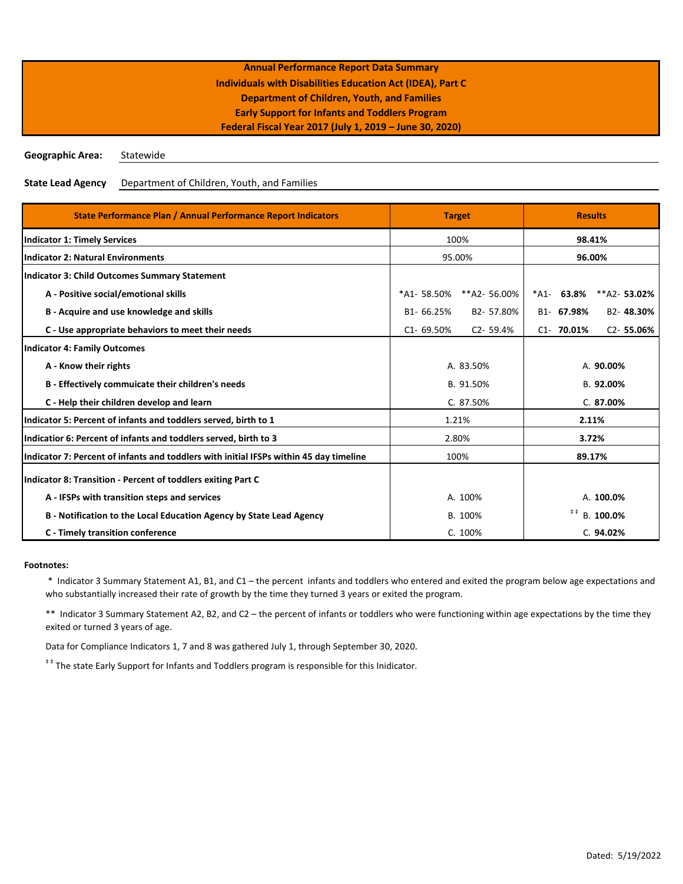**Geographic Area:** Statewide

**State Lead Agency** Department of Children, Youth, and Families

| State Performance Plan / Annual Performance Report Indicators                          |               | <b>Target</b> |                | <b>Results</b>         |                        |
|----------------------------------------------------------------------------------------|---------------|---------------|----------------|------------------------|------------------------|
| <b>Indicator 1: Timely Services</b>                                                    | 100%          |               | 98.41%         |                        |                        |
| <b>Indicator 2: Natural Environments</b>                                               | 95.00%        |               | 96.00%         |                        |                        |
| <b>Indicator 3: Child Outcomes Summary Statement</b>                                   |               |               |                |                        |                        |
| A - Positive social/emotional skills                                                   | *A1-58.50%    | **A2-56.00%   | $^*$ A1-       | 63.8%                  | **A2-53.02%            |
| B - Acquire and use knowledge and skills                                               | B1-66.25%     | B2-57.80%     |                | B <sub>1</sub> -67.98% | B <sub>2</sub> -48.30% |
| C - Use appropriate behaviors to meet their needs                                      | $C1 - 69.50%$ | $C2 - 59.4%$  |                | $C1 - 70.01%$          | $C2 - 55.06%$          |
| Indicator 4: Family Outcomes                                                           |               |               |                |                        |                        |
| A - Know their rights                                                                  | A. 83.50%     |               | A. 90.00%      |                        |                        |
| B - Effectively commuicate their children's needs                                      | B. 91.50%     |               | B. 92.00%      |                        |                        |
| C - Help their children develop and learn                                              | C. 87.50%     |               | C. 87.00%      |                        |                        |
| Indicator 5: Percent of infants and toddlers served, birth to 1                        | 1.21%         |               | 2.11%          |                        |                        |
| Indicatior 6: Percent of infants and toddlers served, birth to 3                       | 2.80%         |               | 3.72%          |                        |                        |
| Indicator 7: Percent of infants and toddlers with initial IFSPs within 45 day timeline | 100%          |               | 89.17%         |                        |                        |
| Indicator 8: Transition - Percent of toddlers exiting Part C                           |               |               |                |                        |                        |
| A - IFSPs with transition steps and services                                           | A. 100%       |               | A. 100.0%      |                        |                        |
| B - Notification to the Local Education Agency by State Lead Agency                    | B. 100%       |               | #<br>B. 100.0% |                        |                        |
| C - Timely transition conference                                                       |               | C. 100%       |                |                        | C.94.02%               |

### **Footnotes:**

 \* Indicator 3 Summary Statement A1, B1, and C1 – the percent infants and toddlers who entered and exited the program below age expectations and who substantially increased their rate of growth by the time they turned 3 years or exited the program.

\*\* Indicator 3 Summary Statement A2, B2, and C2 – the percent of infants or toddlers who were functioning within age expectations by the time they exited or turned 3 years of age.

Data for Compliance Indicators 1, 7 and 8 was gathered July 1, through September 30, 2020.

<sup>##</sup> The state Early Support for Infants and Toddlers program is responsible for this Inidicator.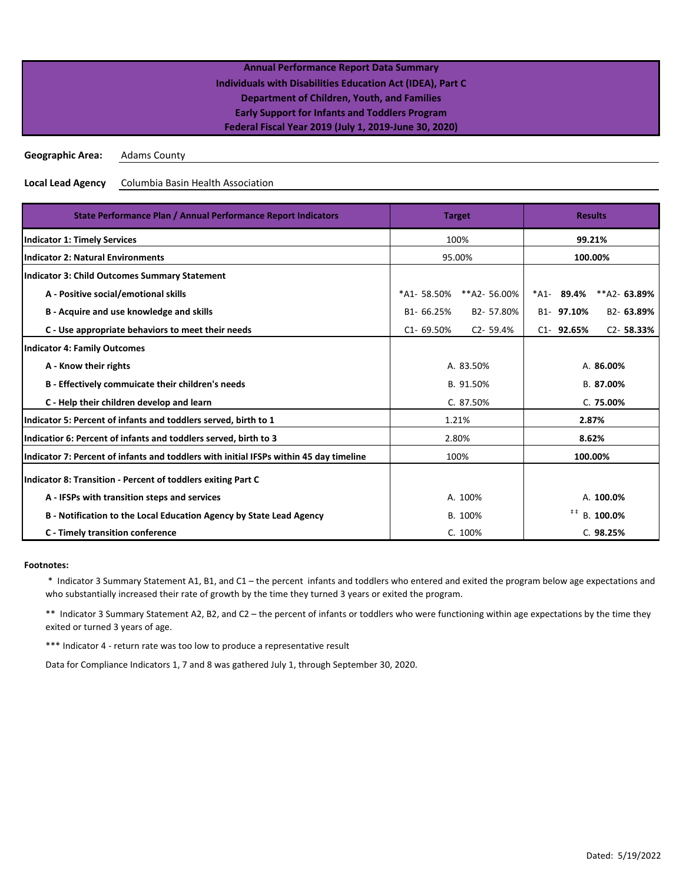| <b>Annual Performance Report Data Summary</b>                     |  |
|-------------------------------------------------------------------|--|
| <b>Individuals with Disabilities Education Act (IDEA), Part C</b> |  |
| Department of Children, Youth, and Families                       |  |
| <b>Early Support for Infants and Toddlers Program</b>             |  |
| Federal Fiscal Year 2019 (July 1, 2019-June 30, 2020)             |  |
|                                                                   |  |

**Geographic Area:** Adams County

**Local Lead Agency** Columbia Basin Health Association

| State Performance Plan / Annual Performance Report Indicators                          | <b>Target</b>                 | <b>Results</b>                 |  |
|----------------------------------------------------------------------------------------|-------------------------------|--------------------------------|--|
| <b>Indicator 1: Timely Services</b>                                                    | 100%                          | 99.21%                         |  |
| <b>Indicator 2: Natural Environments</b>                                               | 95.00%                        | 100.00%                        |  |
| <b>Indicator 3: Child Outcomes Summary Statement</b>                                   |                               |                                |  |
| A - Positive social/emotional skills                                                   | *A1-58.50%<br>**A2-56.00%     | 89.4%<br>**A2-63.89%<br>*A1-   |  |
| B - Acquire and use knowledge and skills                                               | B1-66.25%<br>B2-57.80%        | B1-97.10%<br>B2-63.89%         |  |
| C - Use appropriate behaviors to meet their needs                                      | $C1 - 69.50%$<br>$C2 - 59.4%$ | $C2 - 58.33%$<br>$C1 - 92.65%$ |  |
| <b>Indicator 4: Family Outcomes</b>                                                    |                               |                                |  |
| A - Know their rights                                                                  | A. 83.50%                     | A. 86.00%                      |  |
| B - Effectively commuicate their children's needs                                      | B. 91.50%                     | B. 87.00%                      |  |
| C - Help their children develop and learn                                              | C. 87.50%                     | C. 75.00%                      |  |
| Indicator 5: Percent of infants and toddlers served, birth to 1                        | 1.21%                         | 2.87%                          |  |
| Indicatior 6: Percent of infants and toddlers served, birth to 3                       | 2.80%                         | 8.62%                          |  |
| Indicator 7: Percent of infants and toddlers with initial IFSPs within 45 day timeline | 100%                          | 100.00%                        |  |
| Indicator 8: Transition - Percent of toddlers exiting Part C                           |                               |                                |  |
| A - IFSPs with transition steps and services                                           | A. 100%                       | A. 100.0%                      |  |
| B - Notification to the Local Education Agency by State Lead Agency                    | B. 100%                       | #<br>B. 100.0%                 |  |
| C - Timely transition conference                                                       | C. 100%                       | C. 98.25%                      |  |

### **Footnotes:**

 \* Indicator 3 Summary Statement A1, B1, and C1 – the percent infants and toddlers who entered and exited the program below age expectations and who substantially increased their rate of growth by the time they turned 3 years or exited the program.

\*\* Indicator 3 Summary Statement A2, B2, and C2 – the percent of infants or toddlers who were functioning within age expectations by the time they exited or turned 3 years of age.

\*\*\* Indicator 4 - return rate was too low to produce a representative result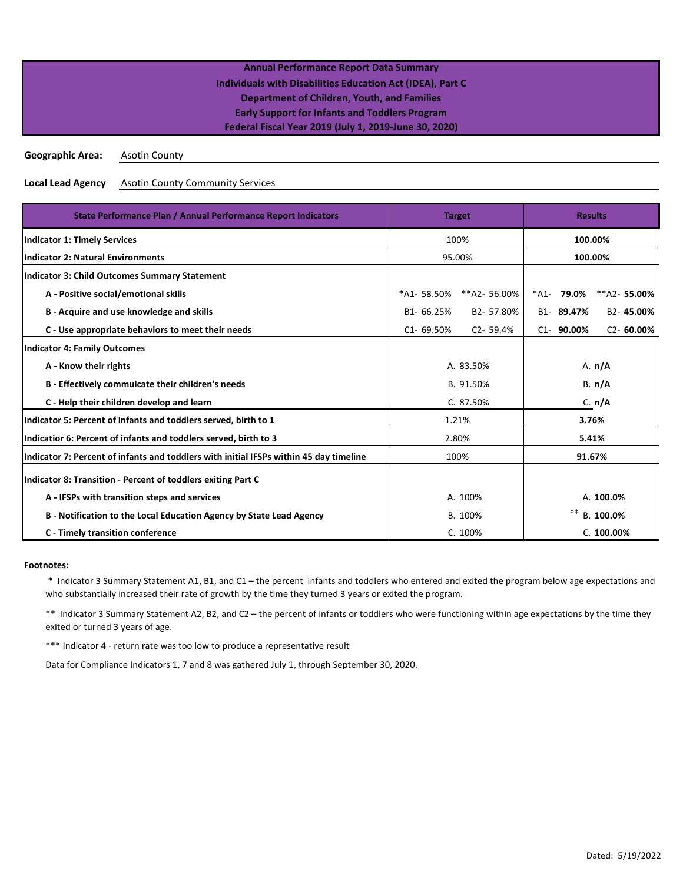| <b>Annual Performance Report Data Summary</b>                     |  |
|-------------------------------------------------------------------|--|
| <b>Individuals with Disabilities Education Act (IDEA), Part C</b> |  |
| Department of Children, Youth, and Families                       |  |
| <b>Early Support for Infants and Toddlers Program</b>             |  |
| Federal Fiscal Year 2019 (July 1, 2019-June 30, 2020)             |  |
|                                                                   |  |

**Geographic Area:** Asotin County

**Local Lead Agency** Asotin County Community Services

| State Performance Plan / Annual Performance Report Indicators                          |               | <b>Target</b> |                                    |                | <b>Results</b> |
|----------------------------------------------------------------------------------------|---------------|---------------|------------------------------------|----------------|----------------|
| <b>Indicator 1: Timely Services</b>                                                    | 100%          |               | 100.00%                            |                |                |
| <b>Indicator 2: Natural Environments</b>                                               | 95.00%        |               | 100.00%                            |                |                |
| Indicator 3: Child Outcomes Summary Statement                                          |               |               |                                    |                |                |
| A - Positive social/emotional skills                                                   | *A1-58.50%    | **A2-56.00%   | *A1-                               | 79.0%          | **A2-55.00%    |
| B - Acquire and use knowledge and skills                                               | B1-66.25%     | B2-57.80%     |                                    | B1-89.47%      | B2-45.00%      |
| C - Use appropriate behaviors to meet their needs                                      | $C1 - 69.50%$ | $C2 - 59.4%$  |                                    | $C1 - 90.00\%$ | $C2 - 60.00\%$ |
| <b>Indicator 4: Family Outcomes</b>                                                    |               |               |                                    |                |                |
| A - Know their rights                                                                  | A. 83.50%     |               | A. n/A                             |                |                |
| B - Effectively commuicate their children's needs                                      | B. 91.50%     |               | B. n/A                             |                |                |
| C - Help their children develop and learn                                              | C. 87.50%     |               | C. n/A                             |                |                |
| Indicator 5: Percent of infants and toddlers served, birth to 1                        | 1.21%         |               | 3.76%                              |                |                |
| Indicatior 6: Percent of infants and toddlers served, birth to 3                       | 2.80%         |               | 5.41%                              |                |                |
| Indicator 7: Percent of infants and toddlers with initial IFSPs within 45 day timeline | 100%          |               | 91.67%                             |                |                |
| Indicator 8: Transition - Percent of toddlers exiting Part C                           |               |               |                                    |                |                |
| A - IFSPs with transition steps and services                                           | A. 100%       |               | A. 100.0%                          |                |                |
| B - Notification to the Local Education Agency by State Lead Agency                    | B. 100%       |               | $\ddagger$ $\ddagger$<br>B. 100.0% |                |                |
| C - Timely transition conference                                                       |               | C. 100%       |                                    |                | C. 100.00%     |

### **Footnotes:**

 \* Indicator 3 Summary Statement A1, B1, and C1 – the percent infants and toddlers who entered and exited the program below age expectations and who substantially increased their rate of growth by the time they turned 3 years or exited the program.

\*\* Indicator 3 Summary Statement A2, B2, and C2 – the percent of infants or toddlers who were functioning within age expectations by the time they exited or turned 3 years of age.

\*\*\* Indicator 4 - return rate was too low to produce a representative result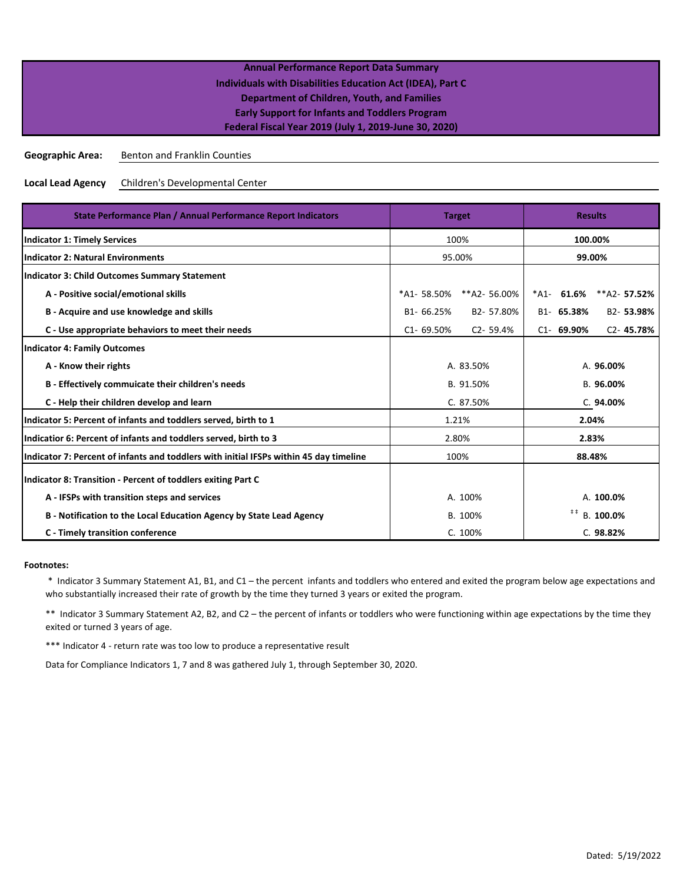| <b>Annual Performance Report Data Summary</b>                     |  |
|-------------------------------------------------------------------|--|
| <b>Individuals with Disabilities Education Act (IDEA), Part C</b> |  |
| <b>Department of Children, Youth, and Families</b>                |  |
| <b>Early Support for Infants and Toddlers Program</b>             |  |
| Federal Fiscal Year 2019 (July 1, 2019-June 30, 2020)             |  |
|                                                                   |  |

**Geographic Area:** Benton and Franklin Counties

**Local Lead Agency** Children's Developmental Center

| State Performance Plan / Annual Performance Report Indicators                          | <b>Target</b>                 | <b>Results</b>                     |  |
|----------------------------------------------------------------------------------------|-------------------------------|------------------------------------|--|
| <b>Indicator 1: Timely Services</b>                                                    | 100%                          | 100.00%                            |  |
| <b>Indicator 2: Natural Environments</b>                                               | 95.00%                        | 99.00%                             |  |
| <b>Indicator 3: Child Outcomes Summary Statement</b>                                   |                               |                                    |  |
| A - Positive social/emotional skills                                                   | *A1-58.50%<br>**A2-56.00%     | 61.6%<br>$**A2 - 57.52%$<br>*A1-   |  |
| B - Acquire and use knowledge and skills                                               | B2-57.80%<br>B1-66.25%        | B2-53.98%<br>B1- 65.38%            |  |
| C - Use appropriate behaviors to meet their needs                                      | $C1 - 69.50%$<br>$C2 - 59.4%$ | $C2 - 45.78%$<br>$C1 - 69.90%$     |  |
| <b>Indicator 4: Family Outcomes</b>                                                    |                               |                                    |  |
| A - Know their rights                                                                  | A. 83.50%                     | A. 96.00%                          |  |
| B - Effectively commuicate their children's needs                                      | B. 91.50%                     | B. 96.00%                          |  |
| C - Help their children develop and learn                                              | C. 87.50%                     | C. 94.00%                          |  |
| Indicator 5: Percent of infants and toddlers served, birth to 1                        | 1.21%                         | 2.04%                              |  |
| Indicatior 6: Percent of infants and toddlers served, birth to 3                       | 2.80%                         | 2.83%                              |  |
| Indicator 7: Percent of infants and toddlers with initial IFSPs within 45 day timeline | 100%                          | 88.48%                             |  |
| Indicator 8: Transition - Percent of toddlers exiting Part C                           |                               |                                    |  |
| A - IFSPs with transition steps and services                                           | A. 100%                       | A. 100.0%                          |  |
| B - Notification to the Local Education Agency by State Lead Agency                    | B. 100%                       | $\ddagger$ $\ddagger$<br>B. 100.0% |  |
| C - Timely transition conference                                                       | C. 100%                       | C. 98.82%                          |  |

### **Footnotes:**

 \* Indicator 3 Summary Statement A1, B1, and C1 – the percent infants and toddlers who entered and exited the program below age expectations and who substantially increased their rate of growth by the time they turned 3 years or exited the program.

\*\* Indicator 3 Summary Statement A2, B2, and C2 – the percent of infants or toddlers who were functioning within age expectations by the time they exited or turned 3 years of age.

\*\*\* Indicator 4 - return rate was too low to produce a representative result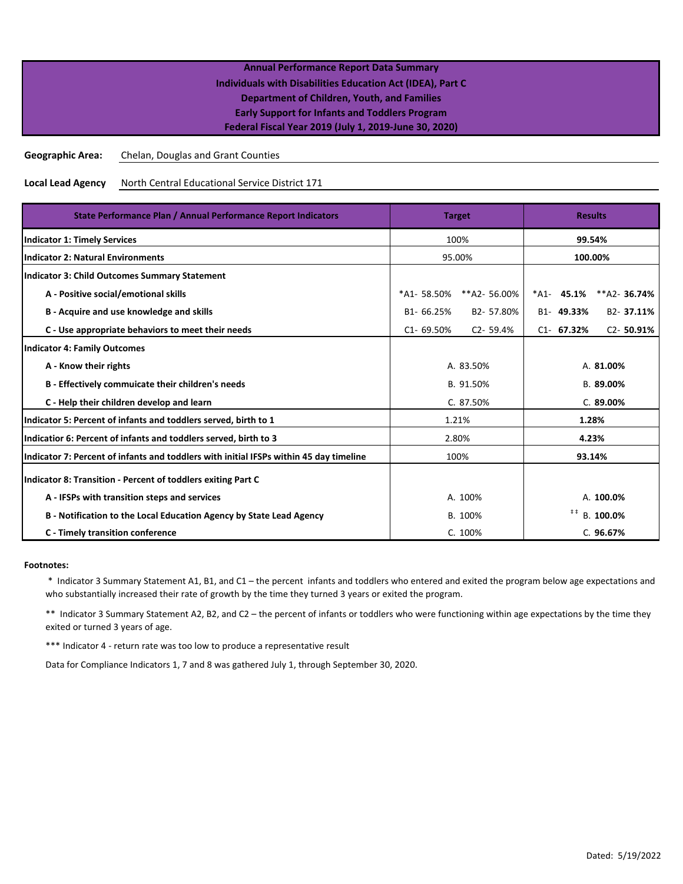**Geographic Area:** Chelan, Douglas and Grant Counties

**Local Lead Agency** North Central Educational Service District 171

| State Performance Plan / Annual Performance Report Indicators                          | <b>Target</b>                 | <b>Results</b>                     |  |
|----------------------------------------------------------------------------------------|-------------------------------|------------------------------------|--|
| <b>Indicator 1: Timely Services</b>                                                    | 100%                          | 99.54%                             |  |
| <b>Indicator 2: Natural Environments</b>                                               | 95.00%                        | 100.00%                            |  |
| Indicator 3: Child Outcomes Summary Statement                                          |                               |                                    |  |
| A - Positive social/emotional skills                                                   | **A2- 56.00%<br>*A1- 58.50%   | $*$ A1-45.1%<br>$*A2-$ 36.74%      |  |
| B - Acquire and use knowledge and skills                                               | B1-66.25%<br>B2-57.80%        | B1-49.33%<br>B2-37.11%             |  |
| C - Use appropriate behaviors to meet their needs                                      | $C1 - 69.50%$<br>$C2 - 59.4%$ | $C2 - 50.91%$<br>$C1 - 67.32%$     |  |
| <b>Indicator 4: Family Outcomes</b>                                                    |                               |                                    |  |
| A - Know their rights                                                                  | A. 83.50%                     | A. 81.00%                          |  |
| B - Effectively commuicate their children's needs                                      | B. 91.50%                     | B. 89.00%                          |  |
| C - Help their children develop and learn                                              | C. 87.50%                     | C. 89.00%                          |  |
| Indicator 5: Percent of infants and toddlers served, birth to 1                        | 1.21%                         | 1.28%                              |  |
| Indicatior 6: Percent of infants and toddlers served, birth to 3                       | 2.80%                         | 4.23%                              |  |
| Indicator 7: Percent of infants and toddlers with initial IFSPs within 45 day timeline | 100%                          | 93.14%                             |  |
| Indicator 8: Transition - Percent of toddlers exiting Part C                           |                               |                                    |  |
| A - IFSPs with transition steps and services                                           | A. 100%                       | A. 100.0%                          |  |
| B - Notification to the Local Education Agency by State Lead Agency                    | B. 100%                       | $\ddagger$ $\ddagger$<br>B. 100.0% |  |
| C - Timely transition conference                                                       | C. 100%                       | C. 96.67%                          |  |

### **Footnotes:**

 \* Indicator 3 Summary Statement A1, B1, and C1 – the percent infants and toddlers who entered and exited the program below age expectations and who substantially increased their rate of growth by the time they turned 3 years or exited the program.

\*\* Indicator 3 Summary Statement A2, B2, and C2 – the percent of infants or toddlers who were functioning within age expectations by the time they exited or turned 3 years of age.

\*\*\* Indicator 4 - return rate was too low to produce a representative result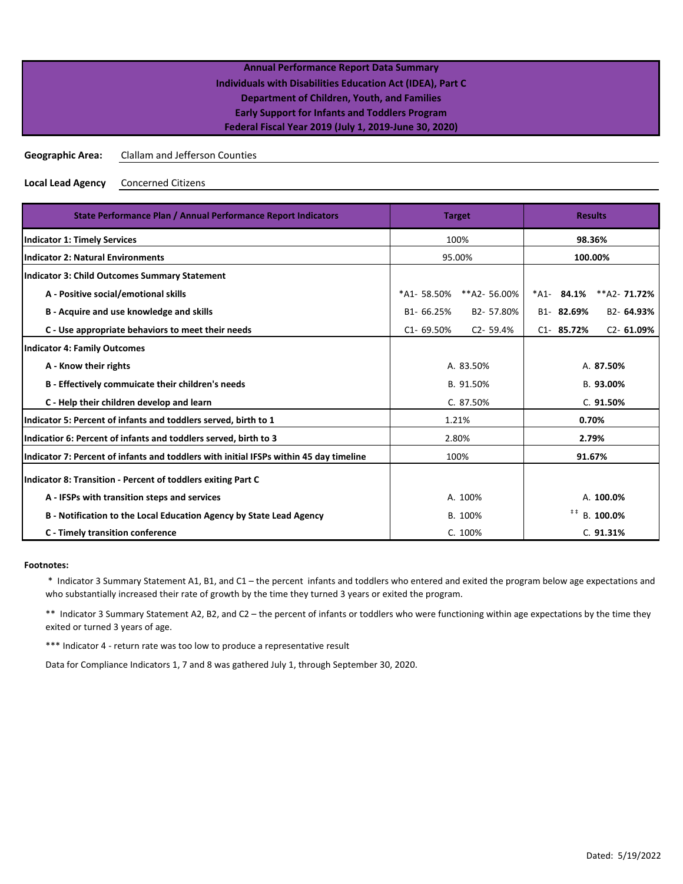| <b>Annual Performance Report Data Summary</b>              |  |
|------------------------------------------------------------|--|
| Individuals with Disabilities Education Act (IDEA), Part C |  |
| Department of Children, Youth, and Families                |  |
| <b>Early Support for Infants and Toddlers Program</b>      |  |
| Federal Fiscal Year 2019 (July 1, 2019-June 30, 2020)      |  |

**Geographic Area:** Clallam and Jefferson Counties

**Local Lead Agency** Concerned Citizens

| State Performance Plan / Annual Performance Report Indicators                          | <b>Target</b>                 | <b>Results</b>                     |
|----------------------------------------------------------------------------------------|-------------------------------|------------------------------------|
| <b>Indicator 1: Timely Services</b>                                                    | 100%                          | 98.36%                             |
| <b>Indicator 2: Natural Environments</b>                                               | 95.00%                        | 100.00%                            |
| Indicator 3: Child Outcomes Summary Statement                                          |                               |                                    |
| A - Positive social/emotional skills                                                   | **A2- 56.00%<br>*A1-58.50%    | $*$ A1-84.1%<br>$*A2 - 71.72%$     |
| B - Acquire and use knowledge and skills                                               | B1-66.25%<br>B2-57.80%        | B1-82.69%<br>B2-64.93%             |
| C - Use appropriate behaviors to meet their needs                                      | $C1 - 69.50%$<br>$C2 - 59.4%$ | $C2 - 61.09%$<br>$C1 - 85.72%$     |
| <b>Indicator 4: Family Outcomes</b>                                                    |                               |                                    |
| A - Know their rights                                                                  | A. 83.50%                     | A. 87.50%                          |
| B - Effectively commuicate their children's needs                                      | B. 91.50%                     | B. 93.00%                          |
| C - Help their children develop and learn                                              | C. 87.50%                     | C. 91.50%                          |
| Indicator 5: Percent of infants and toddlers served, birth to 1                        | 1.21%                         | 0.70%                              |
| Indicatior 6: Percent of infants and toddlers served, birth to 3                       | 2.80%                         | 2.79%                              |
| Indicator 7: Percent of infants and toddlers with initial IFSPs within 45 day timeline | 100%                          | 91.67%                             |
| Indicator 8: Transition - Percent of toddlers exiting Part C                           |                               |                                    |
| A - IFSPs with transition steps and services                                           | A. 100%                       | A. 100.0%                          |
| B - Notification to the Local Education Agency by State Lead Agency                    | B. 100%                       | $\ddagger$ $\ddagger$<br>B. 100.0% |
| C - Timely transition conference                                                       | C. 100%                       | C.91.31%                           |

### **Footnotes:**

 \* Indicator 3 Summary Statement A1, B1, and C1 – the percent infants and toddlers who entered and exited the program below age expectations and who substantially increased their rate of growth by the time they turned 3 years or exited the program.

\*\* Indicator 3 Summary Statement A2, B2, and C2 – the percent of infants or toddlers who were functioning within age expectations by the time they exited or turned 3 years of age.

\*\*\* Indicator 4 - return rate was too low to produce a representative result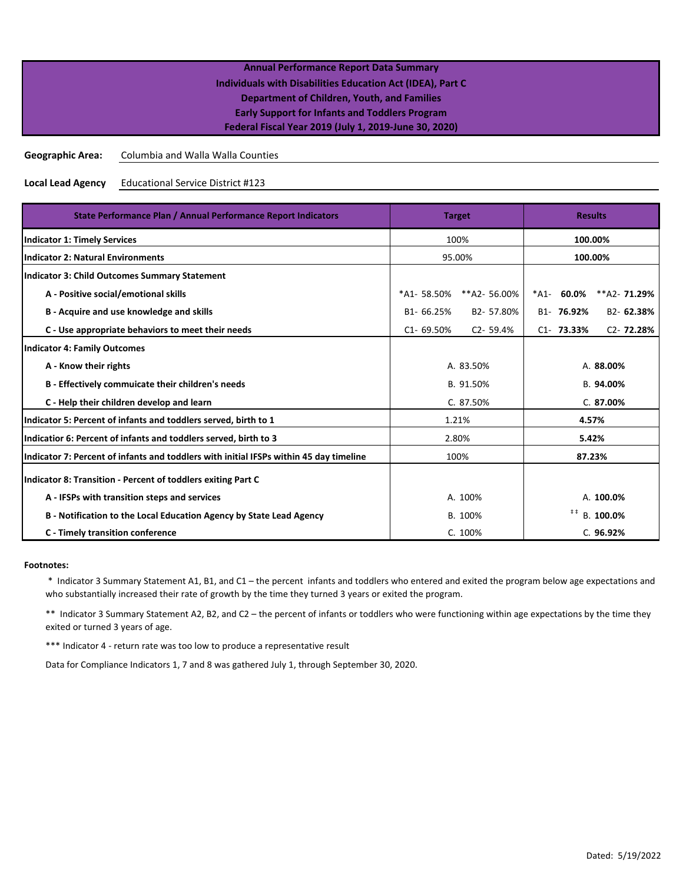| <b>Annual Performance Report Data Summary</b>              |  |
|------------------------------------------------------------|--|
| Individuals with Disabilities Education Act (IDEA), Part C |  |
| <b>Department of Children, Youth, and Families</b>         |  |
| <b>Early Support for Infants and Toddlers Program</b>      |  |
| Federal Fiscal Year 2019 (July 1, 2019-June 30, 2020)      |  |
|                                                            |  |

**Geographic Area:** Columbia and Walla Walla Counties

**Local Lead Agency** Educational Service District #123

| State Performance Plan / Annual Performance Report Indicators                          | <b>Target</b>                 | <b>Results</b>                       |  |
|----------------------------------------------------------------------------------------|-------------------------------|--------------------------------------|--|
| <b>Indicator 1: Timely Services</b>                                                    | 100%                          | 100.00%                              |  |
| <b>Indicator 2: Natural Environments</b>                                               | 95.00%                        | 100.00%                              |  |
| Indicator 3: Child Outcomes Summary Statement                                          |                               |                                      |  |
| A - Positive social/emotional skills                                                   | *A1-58.50%<br>**A2-56.00%     | 60.0%<br>$*A2 - 71.29%$<br>*A1-      |  |
| B - Acquire and use knowledge and skills                                               | B2-57.80%<br>B1-66.25%        | B1- 76.92%<br>B <sub>2</sub> -62.38% |  |
| C - Use appropriate behaviors to meet their needs                                      | $C1 - 69.50%$<br>$C2 - 59.4%$ | $C2 - 72.28%$<br>$C1 - 73.33%$       |  |
| <b>Indicator 4: Family Outcomes</b>                                                    |                               |                                      |  |
| A - Know their rights                                                                  | A. 83.50%                     | A. 88.00%                            |  |
| B - Effectively commuicate their children's needs                                      | B. 91.50%                     | B. 94.00%                            |  |
| C - Help their children develop and learn                                              | C. 87.50%                     | C.87.00%                             |  |
| Indicator 5: Percent of infants and toddlers served, birth to 1                        | 1.21%                         | 4.57%                                |  |
| Indicatior 6: Percent of infants and toddlers served, birth to 3                       | 2.80%                         | 5.42%                                |  |
| Indicator 7: Percent of infants and toddlers with initial IFSPs within 45 day timeline | 100%                          | 87.23%                               |  |
| Indicator 8: Transition - Percent of toddlers exiting Part C                           |                               |                                      |  |
| A - IFSPs with transition steps and services                                           | A. 100%                       | A. 100.0%                            |  |
| B - Notification to the Local Education Agency by State Lead Agency                    | B. 100%                       | $\ddagger$ $\ddagger$<br>B. 100.0%   |  |
| C - Timely transition conference                                                       | C. 100%                       | C. 96.92%                            |  |

### **Footnotes:**

 \* Indicator 3 Summary Statement A1, B1, and C1 – the percent infants and toddlers who entered and exited the program below age expectations and who substantially increased their rate of growth by the time they turned 3 years or exited the program.

\*\* Indicator 3 Summary Statement A2, B2, and C2 – the percent of infants or toddlers who were functioning within age expectations by the time they exited or turned 3 years of age.

\*\*\* Indicator 4 - return rate was too low to produce a representative result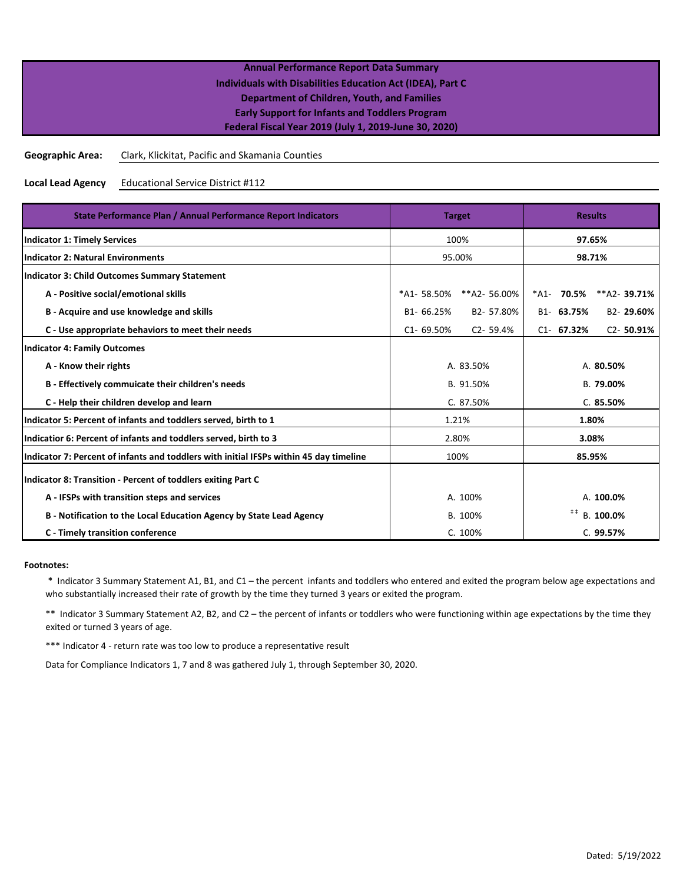**Geographic Area:** Clark, Klickitat, Pacific and Skamania Counties

**Local Lead Agency** Educational Service District #112

| State Performance Plan / Annual Performance Report Indicators                          | <b>Target</b>                 | <b>Results</b>                     |  |  |
|----------------------------------------------------------------------------------------|-------------------------------|------------------------------------|--|--|
| <b>Indicator 1: Timely Services</b>                                                    | 100%                          | 97.65%                             |  |  |
| <b>Indicator 2: Natural Environments</b>                                               | 95.00%                        | 98.71%                             |  |  |
| <b>Indicator 3: Child Outcomes Summary Statement</b>                                   |                               |                                    |  |  |
| A - Positive social/emotional skills                                                   | *A1-58.50%<br>**A2-56.00%     | *A1- 70.5%<br>$*A2 - 39.71%$       |  |  |
| B - Acquire and use knowledge and skills                                               | B1-66.25%<br>B2-57.80%        | B1-63.75%<br>B2-29.60%             |  |  |
| C - Use appropriate behaviors to meet their needs                                      | $C1 - 69.50%$<br>$C2 - 59.4%$ | $C2 - 50.91%$<br>$C1 - 67.32%$     |  |  |
| <b>Indicator 4: Family Outcomes</b>                                                    |                               |                                    |  |  |
| A - Know their rights                                                                  | A. 83.50%                     | A. 80.50%                          |  |  |
| B - Effectively commuicate their children's needs                                      | B. 91.50%                     | B. 79.00%                          |  |  |
| C - Help their children develop and learn                                              | C. 87.50%                     | C.85.50%                           |  |  |
| Indicator 5: Percent of infants and toddlers served, birth to 1                        | 1.21%                         | 1.80%                              |  |  |
| Indicatior 6: Percent of infants and toddlers served, birth to 3                       | 2.80%                         | 3.08%                              |  |  |
| Indicator 7: Percent of infants and toddlers with initial IFSPs within 45 day timeline | 100%                          | 85.95%                             |  |  |
| Indicator 8: Transition - Percent of toddlers exiting Part C                           |                               |                                    |  |  |
| A - IFSPs with transition steps and services                                           | A. 100%                       | A. 100.0%                          |  |  |
| B - Notification to the Local Education Agency by State Lead Agency                    | B. 100%                       | $\ddagger$ $\ddagger$<br>B. 100.0% |  |  |
| C - Timely transition conference                                                       | C. 100%                       | C. 99.57%                          |  |  |

### **Footnotes:**

 \* Indicator 3 Summary Statement A1, B1, and C1 – the percent infants and toddlers who entered and exited the program below age expectations and who substantially increased their rate of growth by the time they turned 3 years or exited the program.

\*\* Indicator 3 Summary Statement A2, B2, and C2 – the percent of infants or toddlers who were functioning within age expectations by the time they exited or turned 3 years of age.

\*\*\* Indicator 4 - return rate was too low to produce a representative result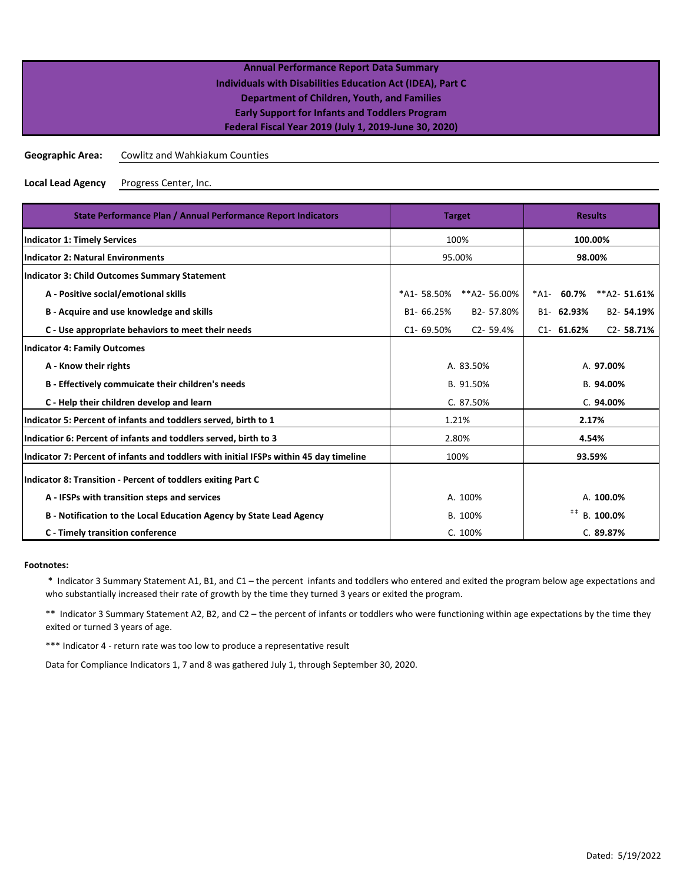| <b>Annual Performance Report Data Summary</b>              |  |
|------------------------------------------------------------|--|
| Individuals with Disabilities Education Act (IDEA), Part C |  |
| Department of Children, Youth, and Families                |  |
| <b>Early Support for Infants and Toddlers Program</b>      |  |
| Federal Fiscal Year 2019 (July 1, 2019-June 30, 2020)      |  |
|                                                            |  |

**Geographic Area:** Cowlitz and Wahkiakum Counties

**Local Lead Agency** Progress Center, Inc.

| State Performance Plan / Annual Performance Report Indicators                          | <b>Target</b>                 | <b>Results</b>                      |  |
|----------------------------------------------------------------------------------------|-------------------------------|-------------------------------------|--|
| <b>Indicator 1: Timely Services</b>                                                    | 100%                          | 100.00%                             |  |
| <b>Indicator 2: Natural Environments</b>                                               | 95.00%                        | 98.00%                              |  |
| Indicator 3: Child Outcomes Summary Statement                                          |                               |                                     |  |
| A - Positive social/emotional skills                                                   | *A1-58.50%<br>**A2-56.00%     | 60.7%<br>*A1-<br>$*A2 - 51.61%$     |  |
| B - Acquire and use knowledge and skills                                               | B1-66.25%<br>B2-57.80%        | B1-62.93%<br>B <sub>2</sub> -54.19% |  |
| C - Use appropriate behaviors to meet their needs                                      | $C1 - 69.50%$<br>$C2 - 59.4%$ | $C2 - 58.71%$<br>$C1 - 61.62%$      |  |
| <b>Indicator 4: Family Outcomes</b>                                                    |                               |                                     |  |
| A - Know their rights                                                                  | A. 83.50%                     | A. 97.00%                           |  |
| B - Effectively commuicate their children's needs                                      | B. 91.50%                     | B. 94.00%                           |  |
| C - Help their children develop and learn                                              | C. 87.50%                     | C.94.00%                            |  |
| Indicator 5: Percent of infants and toddlers served, birth to 1                        | 1.21%                         | 2.17%                               |  |
| Indicatior 6: Percent of infants and toddlers served, birth to 3                       | 2.80%                         | 4.54%                               |  |
| Indicator 7: Percent of infants and toddlers with initial IFSPs within 45 day timeline | 100%                          | 93.59%                              |  |
| Indicator 8: Transition - Percent of toddlers exiting Part C                           |                               |                                     |  |
| A - IFSPs with transition steps and services                                           | A. 100%                       | A. 100.0%                           |  |
| B - Notification to the Local Education Agency by State Lead Agency                    | B. 100%                       | #  #<br>B. 100.0%                   |  |
| C - Timely transition conference                                                       | C. 100%                       | C.89.87%                            |  |

### **Footnotes:**

 \* Indicator 3 Summary Statement A1, B1, and C1 – the percent infants and toddlers who entered and exited the program below age expectations and who substantially increased their rate of growth by the time they turned 3 years or exited the program.

\*\* Indicator 3 Summary Statement A2, B2, and C2 – the percent of infants or toddlers who were functioning within age expectations by the time they exited or turned 3 years of age.

\*\*\* Indicator 4 - return rate was too low to produce a representative result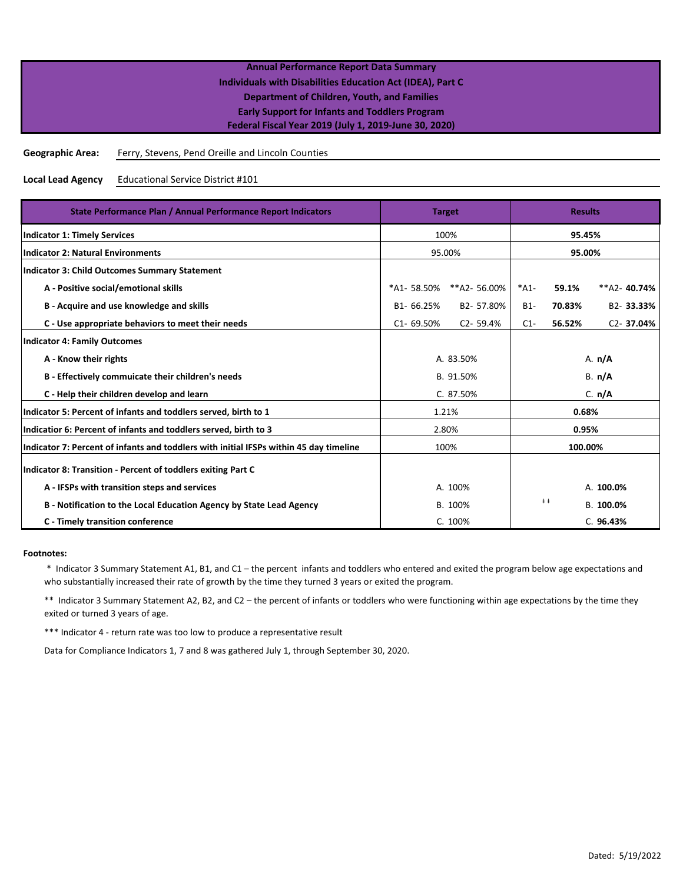**Geographic Area:** Ferry, Stevens, Pend Oreille and Lincoln Counties

**Local Lead Agency** Educational Service District #101

| State Performance Plan / Annual Performance Report Indicators                          | <b>Target</b>  | <b>Results</b> |          |                       |                |
|----------------------------------------------------------------------------------------|----------------|----------------|----------|-----------------------|----------------|
| <b>Indicator 1: Timely Services</b>                                                    | 100%           | 95.45%         |          |                       |                |
| <b>Indicator 2: Natural Environments</b>                                               |                | 95.00%         |          | 95.00%                |                |
| <b>Indicator 3: Child Outcomes Summary Statement</b>                                   |                |                |          |                       |                |
| A - Positive social/emotional skills                                                   | *A1-58.50%     | **A2-56.00%    | $*A1-$   | 59.1%                 | $**$ A2-40.74% |
| B - Acquire and use knowledge and skills                                               | B1-66.25%      | B2-57.80%      | $B1-$    | 70.83%                | B2-33.33%      |
| C - Use appropriate behaviors to meet their needs                                      | $C1 - 69.50%$  | $C2 - 59.4%$   | $C1-$    | 56.52%                | $C2 - 37.04%$  |
| <b>Indicator 4: Family Outcomes</b>                                                    |                |                |          |                       |                |
| A - Know their rights                                                                  | A. 83.50%      |                | A. $n/A$ |                       |                |
| B - Effectively commuicate their children's needs                                      |                | B. 91.50%      | B. n/A   |                       |                |
| C - Help their children develop and learn                                              |                | C. 87.50%      | C. n/A   |                       |                |
| Indicator 5: Percent of infants and toddlers served, birth to 1                        |                | 1.21%          | 0.68%    |                       |                |
| Indicatior 6: Percent of infants and toddlers served, birth to 3                       | 2.80%<br>0.95% |                |          |                       |                |
| Indicator 7: Percent of infants and toddlers with initial IFSPs within 45 day timeline | 100%           |                | 100.00%  |                       |                |
| Indicator 8: Transition - Percent of toddlers exiting Part C                           |                |                |          |                       |                |
| A - IFSPs with transition steps and services                                           | A. 100%        |                |          |                       | A. 100.0%      |
| B - Notification to the Local Education Agency by State Lead Agency                    | B. 100%        |                |          | $\ddagger$ $\ddagger$ | B. 100.0%      |
| C - Timely transition conference                                                       |                | C. 100%        |          |                       | C.96.43%       |

### **Footnotes:**

 \* Indicator 3 Summary Statement A1, B1, and C1 – the percent infants and toddlers who entered and exited the program below age expectations and who substantially increased their rate of growth by the time they turned 3 years or exited the program.

\*\* Indicator 3 Summary Statement A2, B2, and C2 – the percent of infants or toddlers who were functioning within age expectations by the time they exited or turned 3 years of age.

\*\*\* Indicator 4 - return rate was too low to produce a representative result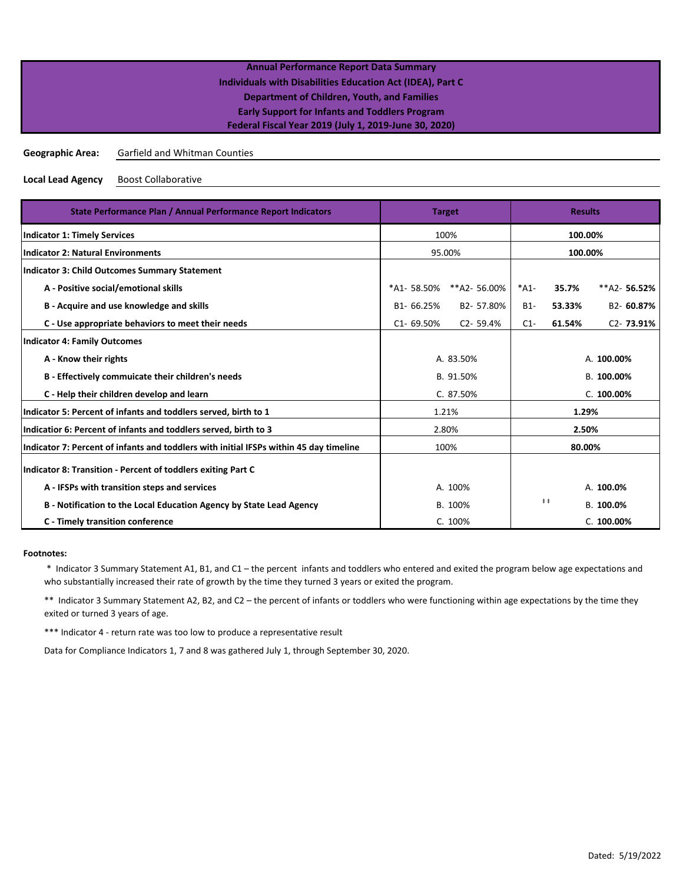### **Geographic Area:** Garfield and Whitman Counties

**Local Lead Agency** Boost Collaborative

| State Performance Plan / Annual Performance Report Indicators                          | <b>Target</b>                    |                | <b>Results</b> |           |                |
|----------------------------------------------------------------------------------------|----------------------------------|----------------|----------------|-----------|----------------|
| <b>Indicator 1: Timely Services</b>                                                    |                                  | 100%           |                |           | 100.00%        |
| <b>Indicator 2: Natural Environments</b>                                               |                                  | 95.00%         | 100.00%        |           |                |
| <b>Indicator 3: Child Outcomes Summary Statement</b>                                   |                                  |                |                |           |                |
| A - Positive social/emotional skills                                                   | *A1-58.50%                       | **A2-56.00%    | $*A1-$         | 35.7%     | $**$ A2-56.52% |
| B - Acquire and use knowledge and skills                                               | B1-66.25%                        | B2-57.80%      | $B1-$          | 53.33%    | B2-60.87%      |
| C - Use appropriate behaviors to meet their needs                                      | $C1 - 69.50%$                    | $C2 - 59.4%$   | $C1-$          | 61.54%    | $C2 - 73.91%$  |
| <b>Indicator 4: Family Outcomes</b>                                                    |                                  |                |                |           |                |
| A - Know their rights                                                                  | A. 83.50%                        |                | A. 100.00%     |           |                |
| B - Effectively commuicate their children's needs                                      |                                  | B. 91.50%      | B. 100.00%     |           |                |
| C - Help their children develop and learn                                              |                                  | C. 87.50%      | C. 100.00%     |           |                |
| Indicator 5: Percent of infants and toddlers served, birth to 1                        |                                  | 1.21%          | 1.29%          |           |                |
| Indicatior 6: Percent of infants and toddlers served, birth to 3                       |                                  | 2.80%<br>2.50% |                |           |                |
| Indicator 7: Percent of infants and toddlers with initial IFSPs within 45 day timeline | 100%                             |                | 80.00%         |           |                |
| Indicator 8: Transition - Percent of toddlers exiting Part C                           |                                  |                |                |           |                |
| A - IFSPs with transition steps and services                                           | A. 100%                          |                |                |           | A. 100.0%      |
| B - Notification to the Local Education Agency by State Lead Agency                    | $\ddagger$ $\ddagger$<br>B. 100% |                |                | B. 100.0% |                |
| C - Timely transition conference                                                       |                                  | C. 100%        |                |           | C. 100.00%     |

### **Footnotes:**

 \* Indicator 3 Summary Statement A1, B1, and C1 – the percent infants and toddlers who entered and exited the program below age expectations and who substantially increased their rate of growth by the time they turned 3 years or exited the program.

\*\* Indicator 3 Summary Statement A2, B2, and C2 – the percent of infants or toddlers who were functioning within age expectations by the time they exited or turned 3 years of age.

\*\*\* Indicator 4 - return rate was too low to produce a representative result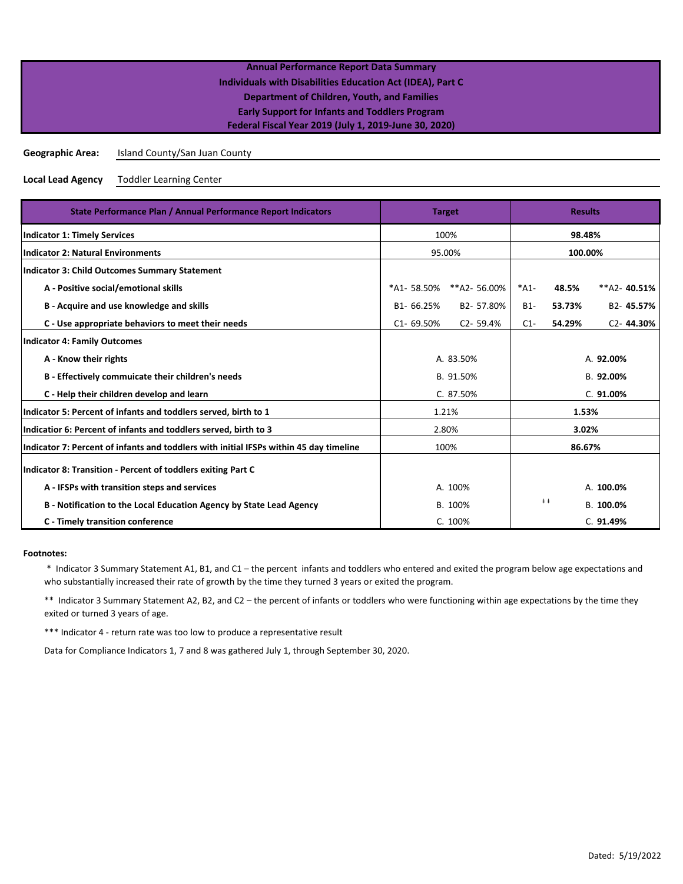### **Geographic Area:** Island County/San Juan County

**Local Lead Agency** Toddler Learning Center

| State Performance Plan / Annual Performance Report Indicators                          | <b>Target</b>  | <b>Results</b> |           |                       |                        |
|----------------------------------------------------------------------------------------|----------------|----------------|-----------|-----------------------|------------------------|
| <b>Indicator 1: Timely Services</b>                                                    |                | 100%           |           |                       | 98.48%                 |
| <b>Indicator 2: Natural Environments</b>                                               |                | 95.00%         | 100.00%   |                       |                        |
| <b>Indicator 3: Child Outcomes Summary Statement</b>                                   |                |                |           |                       |                        |
| A - Positive social/emotional skills                                                   | *A1-58.50%     | **A2-56.00%    | $*A1-$    | 48.5%                 | $**$ A2-40.51%         |
| B - Acquire and use knowledge and skills                                               | B1-66.25%      | B2-57.80%      | $B1-$     | 53.73%                | B2-45.57%              |
| C - Use appropriate behaviors to meet their needs                                      | C1-69.50%      | $C2 - 59.4%$   | $C1-$     | 54.29%                | C <sub>2</sub> -44.30% |
| <b>Indicator 4: Family Outcomes</b>                                                    |                |                |           |                       |                        |
| A - Know their rights                                                                  |                | A. 83.50%      |           | A. 92.00%             |                        |
| B - Effectively commuicate their children's needs                                      |                | B. 91.50%      | B. 92.00% |                       |                        |
| C - Help their children develop and learn                                              |                | C. 87.50%      | C.91.00%  |                       |                        |
| Indicator 5: Percent of infants and toddlers served, birth to 1                        |                | 1.21%          | 1.53%     |                       |                        |
| Indicatior 6: Percent of infants and toddlers served, birth to 3                       | 2.80%<br>3.02% |                |           |                       |                        |
| Indicator 7: Percent of infants and toddlers with initial IFSPs within 45 day timeline |                | 100%           |           | 86.67%                |                        |
| Indicator 8: Transition - Percent of toddlers exiting Part C                           |                |                |           |                       |                        |
| A - IFSPs with transition steps and services                                           | A. 100%        |                |           |                       | A. 100.0%              |
| B - Notification to the Local Education Agency by State Lead Agency                    |                | B. 100%        |           | $\ddagger$ $\ddagger$ | B. 100.0%              |
| C - Timely transition conference                                                       |                | C. 100%        |           |                       | C. 91.49%              |

### **Footnotes:**

 \* Indicator 3 Summary Statement A1, B1, and C1 – the percent infants and toddlers who entered and exited the program below age expectations and who substantially increased their rate of growth by the time they turned 3 years or exited the program.

\*\* Indicator 3 Summary Statement A2, B2, and C2 – the percent of infants or toddlers who were functioning within age expectations by the time they exited or turned 3 years of age.

\*\*\* Indicator 4 - return rate was too low to produce a representative result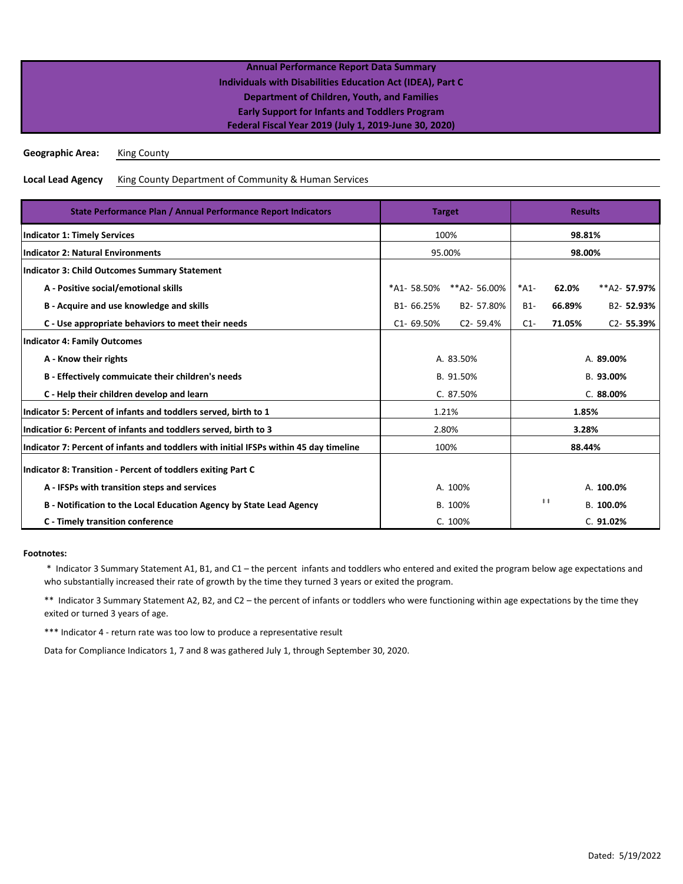| <b>Annual Performance Report Data Summary</b>              |  |
|------------------------------------------------------------|--|
| Individuals with Disabilities Education Act (IDEA), Part C |  |
| Department of Children, Youth, and Families                |  |
| <b>Early Support for Infants and Toddlers Program</b>      |  |
| Federal Fiscal Year 2019 (July 1, 2019-June 30, 2020)      |  |
|                                                            |  |

**Geographic Area:** King County

**Local Lead Agency** King County Department of Community & Human Services

| State Performance Plan / Annual Performance Report Indicators                          | <b>Target</b>  | <b>Results</b> |           |                       |               |
|----------------------------------------------------------------------------------------|----------------|----------------|-----------|-----------------------|---------------|
| <b>Indicator 1: Timely Services</b>                                                    | 100%           | 98.81%         |           |                       |               |
| <b>Indicator 2: Natural Environments</b>                                               |                | 95.00%         | 98.00%    |                       |               |
| <b>Indicator 3: Child Outcomes Summary Statement</b>                                   |                |                |           |                       |               |
| A - Positive social/emotional skills                                                   | *A1- 58.50%    | **A2-56.00%    | $*A1-$    | 62.0%                 | **A2-57.97%   |
| B - Acquire and use knowledge and skills                                               | B1-66.25%      | B2-57.80%      | $B1-$     | 66.89%                | B2-52.93%     |
| C - Use appropriate behaviors to meet their needs                                      | $C1 - 69.50%$  | $C2 - 59.4%$   | $C1-$     | 71.05%                | $C2 - 55.39%$ |
| <b>Indicator 4: Family Outcomes</b>                                                    |                |                |           |                       |               |
| A - Know their rights                                                                  | A. 83.50%      |                | A. 89.00% |                       |               |
| B - Effectively commuicate their children's needs                                      |                | B. 91.50%      | B. 93.00% |                       |               |
| C - Help their children develop and learn                                              |                | C. 87.50%      | C.88.00%  |                       |               |
| Indicator 5: Percent of infants and toddlers served, birth to 1                        | 1.21%<br>1.85% |                |           |                       |               |
| Indicatior 6: Percent of infants and toddlers served, birth to 3                       | 2.80%<br>3.28% |                |           |                       |               |
| Indicator 7: Percent of infants and toddlers with initial IFSPs within 45 day timeline | 100%           |                | 88.44%    |                       |               |
| Indicator 8: Transition - Percent of toddlers exiting Part C                           |                |                |           |                       |               |
| A - IFSPs with transition steps and services                                           | A. 100%        |                |           |                       | A. 100.0%     |
| B - Notification to the Local Education Agency by State Lead Agency                    |                | B. 100%        |           | $\ddagger$ $\ddagger$ | B. 100.0%     |
| C - Timely transition conference                                                       |                | C. 100%        |           |                       | C. 91.02%     |

### **Footnotes:**

 \* Indicator 3 Summary Statement A1, B1, and C1 – the percent infants and toddlers who entered and exited the program below age expectations and who substantially increased their rate of growth by the time they turned 3 years or exited the program.

\*\* Indicator 3 Summary Statement A2, B2, and C2 – the percent of infants or toddlers who were functioning within age expectations by the time they exited or turned 3 years of age.

\*\*\* Indicator 4 - return rate was too low to produce a representative result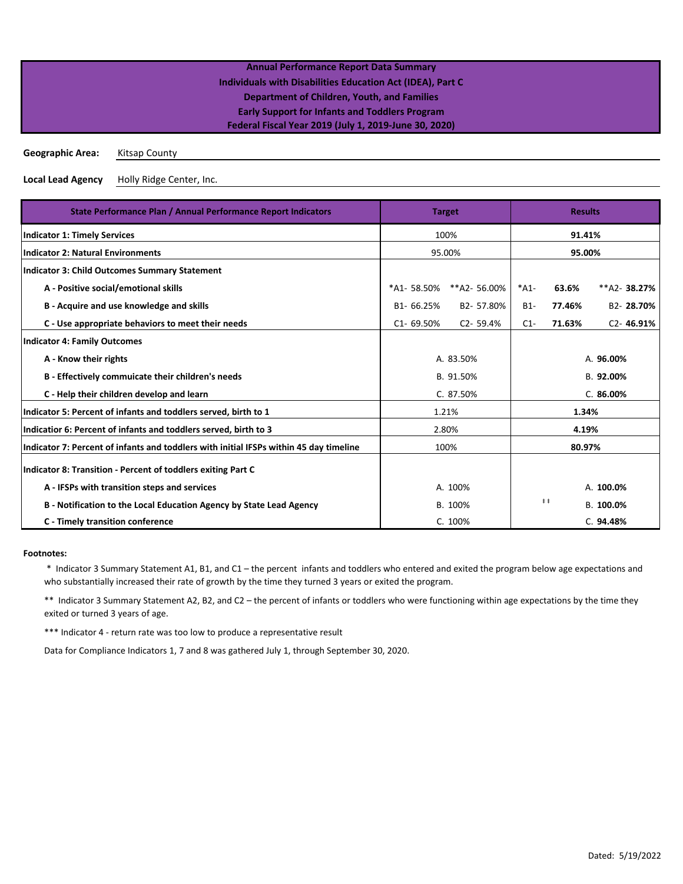**Geographic Area:** Kitsap County

**Local Lead Agency** Holly Ridge Center, Inc.

| State Performance Plan / Annual Performance Report Indicators                          | <b>Target</b>  | <b>Results</b> |           |                       |               |
|----------------------------------------------------------------------------------------|----------------|----------------|-----------|-----------------------|---------------|
| <b>Indicator 1: Timely Services</b>                                                    | 100%           | 91.41%         |           |                       |               |
| <b>Indicator 2: Natural Environments</b>                                               |                | 95.00%         |           | 95.00%                |               |
| <b>Indicator 3: Child Outcomes Summary Statement</b>                                   |                |                |           |                       |               |
| A - Positive social/emotional skills                                                   | *A1-58.50%     | **A2- 56.00%   | $*A1-$    | 63.6%                 | **A2-38.27%   |
| B - Acquire and use knowledge and skills                                               | B1-66.25%      | B2-57.80%      | $B1-$     | 77.46%                | B2-28.70%     |
| C - Use appropriate behaviors to meet their needs                                      | $C1 - 69.50%$  | $C2 - 59.4%$   | $C1-$     | 71.63%                | $C2 - 46.91%$ |
| <b>Indicator 4: Family Outcomes</b>                                                    |                |                |           |                       |               |
| A - Know their rights                                                                  | A. 83.50%      |                | A. 96.00% |                       |               |
| B - Effectively commuicate their children's needs                                      |                | B. 91.50%      | B. 92.00% |                       |               |
| C - Help their children develop and learn                                              |                | C. 87.50%      | C.86.00%  |                       |               |
| Indicator 5: Percent of infants and toddlers served, birth to 1                        |                | 1.21%<br>1.34% |           |                       |               |
| Indicatior 6: Percent of infants and toddlers served, birth to 3                       | 2.80%<br>4.19% |                |           |                       |               |
| Indicator 7: Percent of infants and toddlers with initial IFSPs within 45 day timeline |                | 100%<br>80.97% |           |                       |               |
| Indicator 8: Transition - Percent of toddlers exiting Part C                           |                |                |           |                       |               |
| A - IFSPs with transition steps and services                                           | A. 100%        |                |           |                       | A. 100.0%     |
| B - Notification to the Local Education Agency by State Lead Agency                    | B. 100%        |                |           | $\ddagger$ $\ddagger$ | B. 100.0%     |
| C - Timely transition conference                                                       |                | C. 100%        |           |                       | C. 94.48%     |

### **Footnotes:**

 \* Indicator 3 Summary Statement A1, B1, and C1 – the percent infants and toddlers who entered and exited the program below age expectations and who substantially increased their rate of growth by the time they turned 3 years or exited the program.

\*\* Indicator 3 Summary Statement A2, B2, and C2 – the percent of infants or toddlers who were functioning within age expectations by the time they exited or turned 3 years of age.

\*\*\* Indicator 4 - return rate was too low to produce a representative result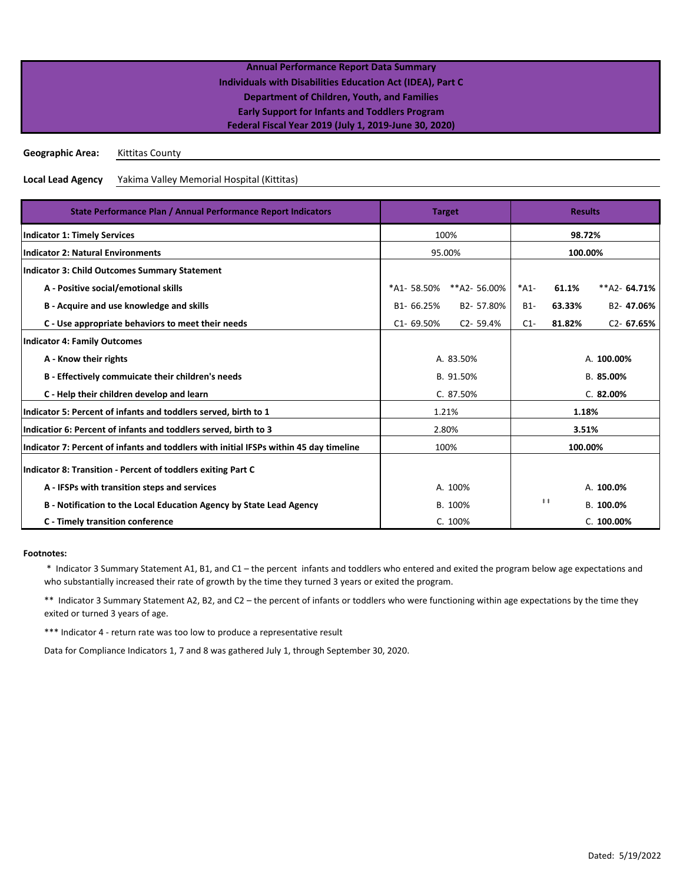**Geographic Area:** Kittitas County

**Local Lead Agency** Yakima Valley Memorial Hospital (Kittitas)

| State Performance Plan / Annual Performance Report Indicators                          | <b>Target</b>  | <b>Results</b> |           |                       |                        |
|----------------------------------------------------------------------------------------|----------------|----------------|-----------|-----------------------|------------------------|
| <b>Indicator 1: Timely Services</b>                                                    | 100%           | 98.72%         |           |                       |                        |
| <b>Indicator 2: Natural Environments</b>                                               |                | 95.00%         | 100.00%   |                       |                        |
| <b>Indicator 3: Child Outcomes Summary Statement</b>                                   |                |                |           |                       |                        |
| A - Positive social/emotional skills                                                   | *A1-58.50%     | **A2-56.00%    | $*A1-$    | 61.1%                 | $**$ A2-64.71%         |
| B - Acquire and use knowledge and skills                                               | B1-66.25%      | B2-57.80%      | $B1-$     | 63.33%                | B <sub>2</sub> -47.06% |
| C - Use appropriate behaviors to meet their needs                                      | $C1 - 69.50%$  | $C2 - 59.4%$   | $C1-$     | 81.82%                | $C2 - 67.65%$          |
| <b>Indicator 4: Family Outcomes</b>                                                    |                |                |           |                       |                        |
| A - Know their rights                                                                  |                | A. 83.50%      |           | A. 100.00%            |                        |
| B - Effectively commuicate their children's needs                                      |                | B. 91.50%      | B. 85.00% |                       |                        |
| C - Help their children develop and learn                                              |                | C. 87.50%      |           |                       | C.82.00%               |
| Indicator 5: Percent of infants and toddlers served, birth to 1                        | 1.21%<br>1.18% |                |           |                       |                        |
| Indicatior 6: Percent of infants and toddlers served, birth to 3                       | 2.80%<br>3.51% |                |           |                       |                        |
| Indicator 7: Percent of infants and toddlers with initial IFSPs within 45 day timeline | 100%           |                | 100.00%   |                       |                        |
| Indicator 8: Transition - Percent of toddlers exiting Part C                           |                |                |           |                       |                        |
| A - IFSPs with transition steps and services                                           | A. 100%        |                |           |                       | A. 100.0%              |
| B - Notification to the Local Education Agency by State Lead Agency                    | B. 100%        |                |           | $\ddagger$ $\ddagger$ | B. 100.0%              |
| <b>C</b> - Timely transition conference                                                |                | C. 100%        |           |                       | C. 100.00%             |

### **Footnotes:**

 \* Indicator 3 Summary Statement A1, B1, and C1 – the percent infants and toddlers who entered and exited the program below age expectations and who substantially increased their rate of growth by the time they turned 3 years or exited the program.

\*\* Indicator 3 Summary Statement A2, B2, and C2 – the percent of infants or toddlers who were functioning within age expectations by the time they exited or turned 3 years of age.

\*\*\* Indicator 4 - return rate was too low to produce a representative result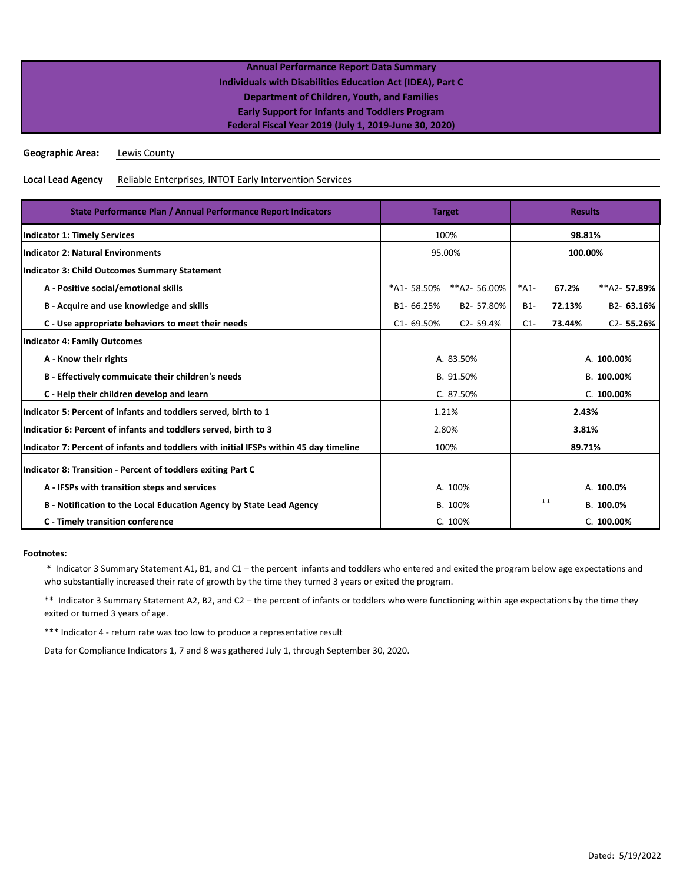**Geographic Area:** Lewis County

#### **Local Lead Agency** Reliable Enterprises, INTOT Early Intervention Services

| State Performance Plan / Annual Performance Report Indicators                          | <b>Target</b>  | <b>Results</b>         |               |                       |               |  |  |
|----------------------------------------------------------------------------------------|----------------|------------------------|---------------|-----------------------|---------------|--|--|
| <b>Indicator 1: Timely Services</b>                                                    | 100%           | 98.81%                 |               |                       |               |  |  |
| <b>Indicator 2: Natural Environments</b>                                               |                | 95.00%                 | 100.00%       |                       |               |  |  |
| <b>Indicator 3: Child Outcomes Summary Statement</b>                                   |                |                        |               |                       |               |  |  |
| A - Positive social/emotional skills                                                   |                | *A1-58.50% **A2-56.00% | $*A1-$        | 67.2%                 | **A2-57.89%   |  |  |
| B - Acquire and use knowledge and skills                                               | B1-66.25%      | B2-57.80%              | $B1-$         | 72.13%                | B2-63.16%     |  |  |
| C - Use appropriate behaviors to meet their needs                                      | $C1 - 69.50%$  | $C2 - 59.4%$           | $C1-$         | 73.44%                | $C2 - 55.26%$ |  |  |
| <b>Indicator 4: Family Outcomes</b>                                                    |                |                        |               |                       |               |  |  |
| A - Know their rights                                                                  | A. 83.50%      |                        | A. 100.00%    |                       |               |  |  |
| B - Effectively commuicate their children's needs                                      |                | B. 91.50%              | B. 100.00%    |                       |               |  |  |
| C - Help their children develop and learn                                              |                | C. 87.50%              | $C. 100.00\%$ |                       |               |  |  |
| Indicator 5: Percent of infants and toddlers served, birth to 1                        |                | 1.21%                  | 2.43%         |                       |               |  |  |
| Indicatior 6: Percent of infants and toddlers served, birth to 3                       | 2.80%<br>3.81% |                        |               |                       |               |  |  |
| Indicator 7: Percent of infants and toddlers with initial IFSPs within 45 day timeline | 100%           |                        | 89.71%        |                       |               |  |  |
| Indicator 8: Transition - Percent of toddlers exiting Part C                           |                |                        |               |                       |               |  |  |
| A - IFSPs with transition steps and services                                           | A. 100%        |                        |               |                       | A. 100.0%     |  |  |
| B - Notification to the Local Education Agency by State Lead Agency                    |                | B. 100%                |               | $\ddagger$ $\ddagger$ | B. 100.0%     |  |  |
| <b>C</b> - Timely transition conference                                                |                | C. 100%                |               |                       | C. 100.00%    |  |  |

### **Footnotes:**

 \* Indicator 3 Summary Statement A1, B1, and C1 – the percent infants and toddlers who entered and exited the program below age expectations and who substantially increased their rate of growth by the time they turned 3 years or exited the program.

\*\* Indicator 3 Summary Statement A2, B2, and C2 – the percent of infants or toddlers who were functioning within age expectations by the time they exited or turned 3 years of age.

\*\*\* Indicator 4 - return rate was too low to produce a representative result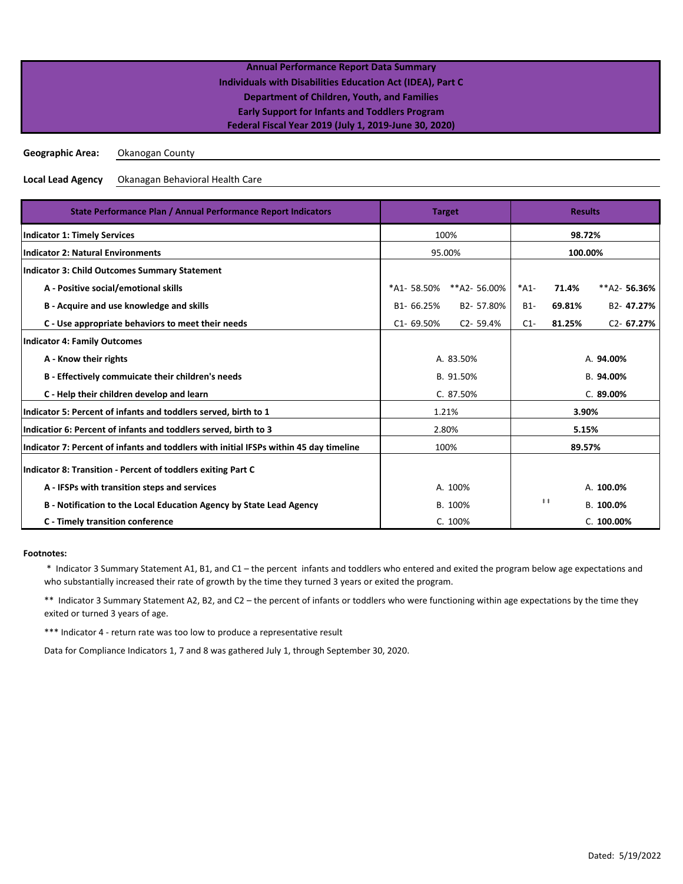**Geographic Area:** Okanogan County

**Local Lead Agency** Okanagan Behavioral Health Care

| State Performance Plan / Annual Performance Report Indicators                          | <b>Target</b>  |              | <b>Results</b>        |           |                        |
|----------------------------------------------------------------------------------------|----------------|--------------|-----------------------|-----------|------------------------|
| <b>Indicator 1: Timely Services</b>                                                    |                | 100%         |                       |           | 98.72%                 |
| <b>Indicator 2: Natural Environments</b>                                               |                | 95.00%       | 100.00%               |           |                        |
| <b>Indicator 3: Child Outcomes Summary Statement</b>                                   |                |              |                       |           |                        |
| A - Positive social/emotional skills                                                   | *A1-58.50%     | **A2-56.00%  | $*A1-$                | 71.4%     | $**A2-56.36%$          |
| B - Acquire and use knowledge and skills                                               | B1-66.25%      | B2-57.80%    | $B1-$                 | 69.81%    | B <sub>2</sub> -47.27% |
| C - Use appropriate behaviors to meet their needs                                      | $C1 - 69.50%$  | $C2 - 59.4%$ | $C1-$                 | 81.25%    | $C2 - 67.27%$          |
| <b>Indicator 4: Family Outcomes</b>                                                    |                |              |                       |           |                        |
| A - Know their rights                                                                  | A. 83.50%      |              | A. 94.00%             |           |                        |
| B - Effectively commuicate their children's needs                                      |                | B. 91.50%    | B. 94.00%             |           |                        |
| C - Help their children develop and learn                                              |                | C. 87.50%    | C.89.00%              |           |                        |
| Indicator 5: Percent of infants and toddlers served, birth to 1                        |                | 1.21%        | 3.90%                 |           |                        |
| Indicatior 6: Percent of infants and toddlers served, birth to 3                       | 2.80%<br>5.15% |              |                       |           |                        |
| Indicator 7: Percent of infants and toddlers with initial IFSPs within 45 day timeline | 100%           |              | 89.57%                |           |                        |
| Indicator 8: Transition - Percent of toddlers exiting Part C                           |                |              |                       |           |                        |
| A - IFSPs with transition steps and services                                           | A. 100%        |              |                       |           | A. 100.0%              |
| B - Notification to the Local Education Agency by State Lead Agency                    | B. 100%        |              | $\ddagger$ $\ddagger$ | B. 100.0% |                        |
| <b>C</b> - Timely transition conference                                                |                | C. 100%      |                       |           | C. 100.00%             |

### **Footnotes:**

 \* Indicator 3 Summary Statement A1, B1, and C1 – the percent infants and toddlers who entered and exited the program below age expectations and who substantially increased their rate of growth by the time they turned 3 years or exited the program.

\*\* Indicator 3 Summary Statement A2, B2, and C2 – the percent of infants or toddlers who were functioning within age expectations by the time they exited or turned 3 years of age.

\*\*\* Indicator 4 - return rate was too low to produce a representative result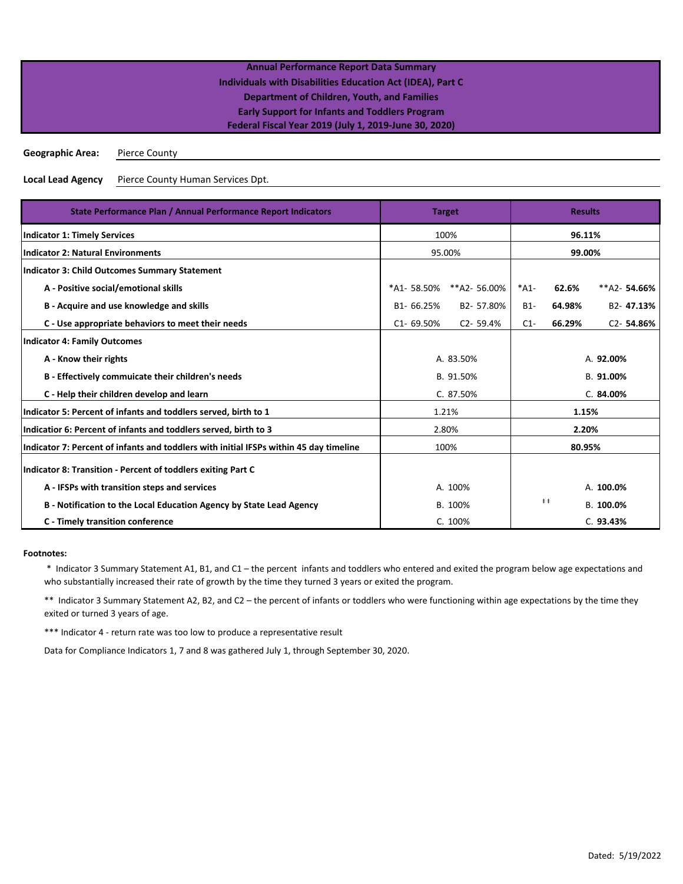**Geographic Area:** Pierce County

**Local Lead Agency** Pierce County Human Services Dpt.

| State Performance Plan / Annual Performance Report Indicators                          | <b>Target</b>    |                | <b>Results</b> |            |                        |
|----------------------------------------------------------------------------------------|------------------|----------------|----------------|------------|------------------------|
| <b>Indicator 1: Timely Services</b>                                                    |                  | 100%           |                | 96.11%     |                        |
| <b>Indicator 2: Natural Environments</b>                                               | 99.00%<br>95.00% |                |                |            |                        |
| <b>Indicator 3: Child Outcomes Summary Statement</b>                                   |                  |                |                |            |                        |
| A - Positive social/emotional skills                                                   | *A1-58.50%       | **A2-56.00%    | $*A1-$         | 62.6%      | $**$ A2-54.66%         |
| B - Acquire and use knowledge and skills                                               | B1-66.25%        | B2-57.80%      | $B1-$          | 64.98%     | B <sub>2</sub> -47.13% |
| C - Use appropriate behaviors to meet their needs                                      | $C1 - 69.50%$    | $C2 - 59.4%$   | $C1-$          | 66.29%     | C <sub>2</sub> -54.86% |
| <b>Indicator 4: Family Outcomes</b>                                                    |                  |                |                |            |                        |
| A - Know their rights                                                                  |                  | A. 83.50%      | A. 92.00%      |            |                        |
| B - Effectively commuicate their children's needs                                      | B. 91.50%        |                | B. 91.00%      |            |                        |
| C - Help their children develop and learn                                              |                  | C. 87.50%      |                | C.84.00%   |                        |
| Indicator 5: Percent of infants and toddlers served, birth to 1                        |                  | 1.21%<br>1.15% |                |            |                        |
| Indicatior 6: Percent of infants and toddlers served, birth to 3                       |                  | 2.80%<br>2.20% |                |            |                        |
| Indicator 7: Percent of infants and toddlers with initial IFSPs within 45 day timeline | 100%             |                | 80.95%         |            |                        |
| Indicator 8: Transition - Percent of toddlers exiting Part C                           |                  |                |                |            |                        |
| A - IFSPs with transition steps and services                                           | A. 100%          |                |                |            | A. 100.0%              |
| B - Notification to the Local Education Agency by State Lead Agency                    | B. 100%          |                |                | $\ddagger$ | B. 100.0%              |
| <b>C</b> - Timely transition conference                                                | C. 100%          |                |                | C.93.43%   |                        |

### **Footnotes:**

 \* Indicator 3 Summary Statement A1, B1, and C1 – the percent infants and toddlers who entered and exited the program below age expectations and who substantially increased their rate of growth by the time they turned 3 years or exited the program.

\*\* Indicator 3 Summary Statement A2, B2, and C2 – the percent of infants or toddlers who were functioning within age expectations by the time they exited or turned 3 years of age.

\*\*\* Indicator 4 - return rate was too low to produce a representative result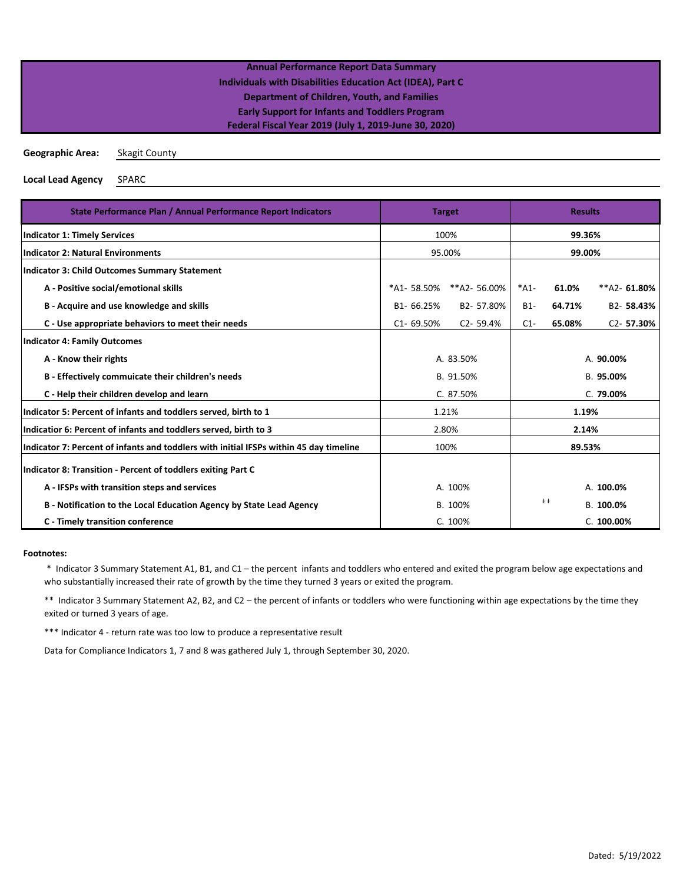**Geographic Area:** Skagit County

**Local Lead Agency** SPARC

| State Performance Plan / Annual Performance Report Indicators                          | <b>Target</b>    |              | <b>Results</b> |                       |                        |
|----------------------------------------------------------------------------------------|------------------|--------------|----------------|-----------------------|------------------------|
| <b>Indicator 1: Timely Services</b>                                                    |                  | 100%         |                | 99.36%                |                        |
| <b>Indicator 2: Natural Environments</b>                                               | 99.00%<br>95.00% |              |                |                       |                        |
| Indicator 3: Child Outcomes Summary Statement                                          |                  |              |                |                       |                        |
| A - Positive social/emotional skills                                                   | *A1-58.50%       | **A2-56.00%  | $*A1-$         | 61.0%                 | **A2-61.80%            |
| B - Acquire and use knowledge and skills                                               | B1-66.25%        | B2-57.80%    | $B1-$          | 64.71%                | B2-58.43%              |
| C - Use appropriate behaviors to meet their needs                                      | C1-69.50%        | $C2 - 59.4%$ | $C1-$          | 65.08%                | C <sub>2</sub> -57.30% |
| <b>Indicator 4: Family Outcomes</b>                                                    |                  |              |                |                       |                        |
| A - Know their rights                                                                  |                  | A. 83.50%    | A. 90.00%      |                       |                        |
| B - Effectively commuicate their children's needs                                      |                  | B. 91.50%    |                | B. 95.00%             |                        |
| C - Help their children develop and learn                                              |                  | C. 87.50%    | C. 79.00%      |                       |                        |
| Indicator 5: Percent of infants and toddlers served, birth to 1                        |                  | 1.21%        | 1.19%          |                       |                        |
| Indicatior 6: Percent of infants and toddlers served, birth to 3                       | 2.80%            |              | 2.14%          |                       |                        |
| Indicator 7: Percent of infants and toddlers with initial IFSPs within 45 day timeline | 100%             |              | 89.53%         |                       |                        |
| Indicator 8: Transition - Percent of toddlers exiting Part C                           |                  |              |                |                       |                        |
| A - IFSPs with transition steps and services                                           | A. 100%          |              |                |                       | A. 100.0%              |
| B - Notification to the Local Education Agency by State Lead Agency                    | B. 100%          |              |                | $\ddagger$ $\ddagger$ | B. 100.0%              |
| <b>C</b> - Timely transition conference                                                | C. 100%          | C. 100.00%   |                |                       |                        |

### **Footnotes:**

 \* Indicator 3 Summary Statement A1, B1, and C1 – the percent infants and toddlers who entered and exited the program below age expectations and who substantially increased their rate of growth by the time they turned 3 years or exited the program.

\*\* Indicator 3 Summary Statement A2, B2, and C2 – the percent of infants or toddlers who were functioning within age expectations by the time they exited or turned 3 years of age.

\*\*\* Indicator 4 - return rate was too low to produce a representative result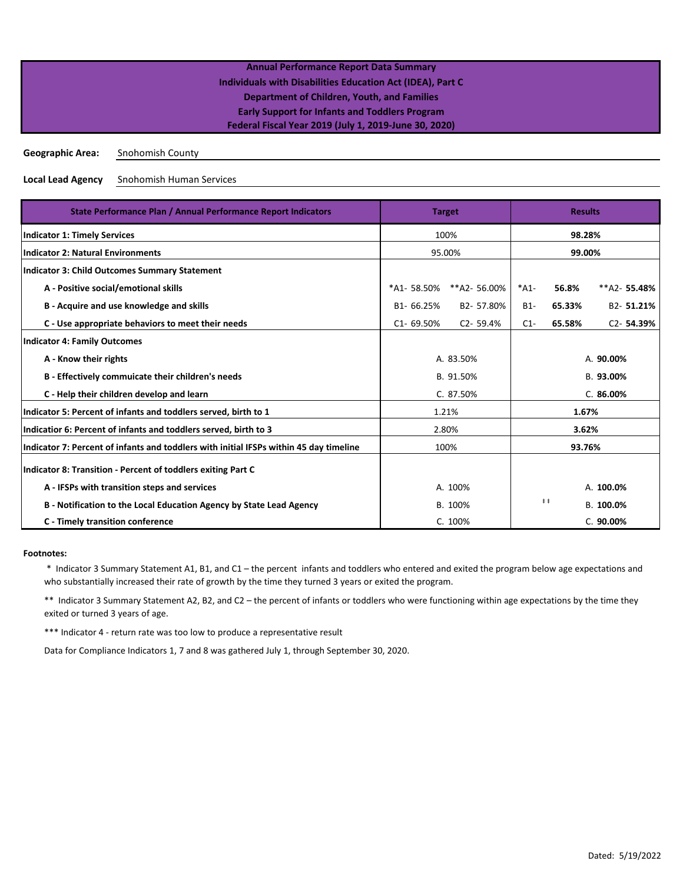**Geographic Area:** Snohomish County

**Local Lead Agency** Snohomish Human Services

| State Performance Plan / Annual Performance Report Indicators                          | <b>Target</b> |              | <b>Results</b> |                       |                        |  |
|----------------------------------------------------------------------------------------|---------------|--------------|----------------|-----------------------|------------------------|--|
| <b>Indicator 1: Timely Services</b>                                                    |               | 100%         | 98.28%         |                       |                        |  |
| <b>Indicator 2: Natural Environments</b>                                               |               | 95.00%       | 99.00%         |                       |                        |  |
| <b>Indicator 3: Child Outcomes Summary Statement</b>                                   |               |              |                |                       |                        |  |
| A - Positive social/emotional skills                                                   | *A1-58.50%    | **A2-56.00%  | $*A1-$         | 56.8%                 | **A2-55.48%            |  |
| B - Acquire and use knowledge and skills                                               | B1-66.25%     | B2-57.80%    | $B1-$          | 65.33%                | B2-51.21%              |  |
| C - Use appropriate behaviors to meet their needs                                      | $C1 - 69.50%$ | $C2 - 59.4%$ | $C1-$          | 65.58%                | C <sub>2</sub> -54.39% |  |
| <b>Indicator 4: Family Outcomes</b>                                                    |               |              |                |                       |                        |  |
| A - Know their rights                                                                  |               | A. 83.50%    | A. 90.00%      |                       |                        |  |
| B - Effectively commuicate their children's needs                                      | B. 91.50%     |              | B. 93.00%      |                       |                        |  |
| C - Help their children develop and learn                                              |               | C. 87.50%    | C.86.00%       |                       |                        |  |
| Indicator 5: Percent of infants and toddlers served, birth to 1                        |               | 1.21%        | 1.67%          |                       |                        |  |
| Indicatior 6: Percent of infants and toddlers served, birth to 3                       | 2.80%         |              | 3.62%          |                       |                        |  |
| Indicator 7: Percent of infants and toddlers with initial IFSPs within 45 day timeline | 100%          |              |                |                       | 93.76%                 |  |
| Indicator 8: Transition - Percent of toddlers exiting Part C                           |               |              |                |                       |                        |  |
| A - IFSPs with transition steps and services                                           | A. 100%       |              |                |                       | A. 100.0%              |  |
| B - Notification to the Local Education Agency by State Lead Agency                    | B. 100%       |              |                | $\ddagger$ $\ddagger$ | B. 100.0%              |  |
| <b>C</b> - Timely transition conference                                                |               | C. 100%      |                |                       | C.90.00%               |  |

### **Footnotes:**

 \* Indicator 3 Summary Statement A1, B1, and C1 – the percent infants and toddlers who entered and exited the program below age expectations and who substantially increased their rate of growth by the time they turned 3 years or exited the program.

\*\* Indicator 3 Summary Statement A2, B2, and C2 – the percent of infants or toddlers who were functioning within age expectations by the time they exited or turned 3 years of age.

\*\*\* Indicator 4 - return rate was too low to produce a representative result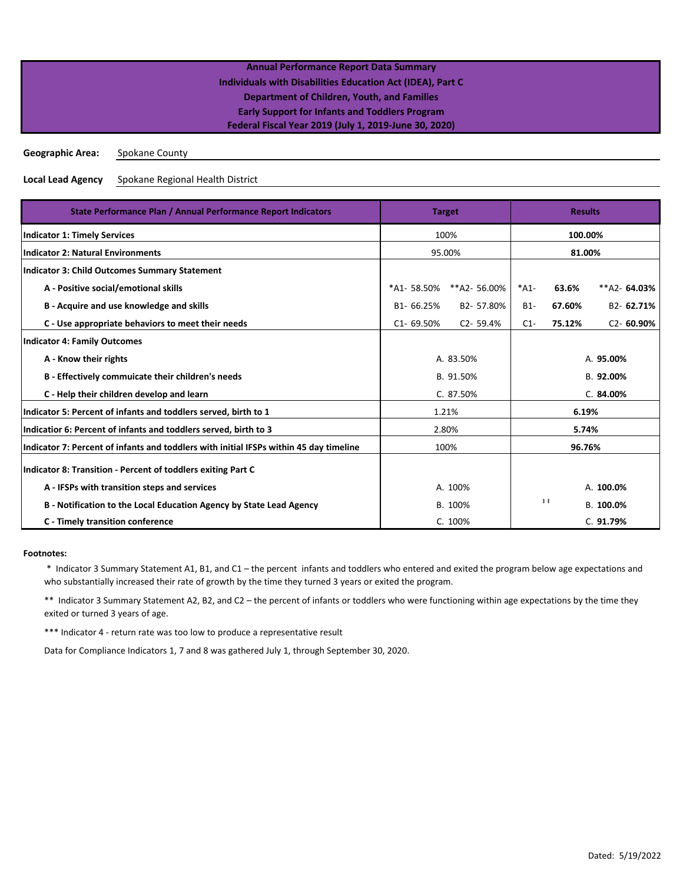**Geographic Area:** Spokane County

**Local Lead Agency** Spokane Regional Health District

| State Performance Plan / Annual Performance Report Indicators                          | <b>Target</b> |                | <b>Results</b> |                       |                |  |
|----------------------------------------------------------------------------------------|---------------|----------------|----------------|-----------------------|----------------|--|
| <b>Indicator 1: Timely Services</b>                                                    |               | 100%           | 100.00%        |                       |                |  |
| <b>Indicator 2: Natural Environments</b>                                               | 95.00%        |                | 81.00%         |                       |                |  |
| Indicator 3: Child Outcomes Summary Statement                                          |               |                |                |                       |                |  |
| A - Positive social/emotional skills                                                   | *A1-58.50%    | **A2-56.00%    | $*A1-$         | 63.6%                 | $**$ A2-64.03% |  |
| B - Acquire and use knowledge and skills                                               | B1-66.25%     | B2-57.80%      | $B1-$          | 67.60%                | B2-62.71%      |  |
| C - Use appropriate behaviors to meet their needs                                      | $C1 - 69.50%$ | $C2 - 59.4%$   | $C1-$          | 75.12%                | $C2 - 60.90%$  |  |
| <b>Indicator 4: Family Outcomes</b>                                                    |               |                |                |                       |                |  |
| A - Know their rights                                                                  |               | A. 83.50%      |                |                       | A. 95.00%      |  |
| B - Effectively commuicate their children's needs                                      | B. 91.50%     |                | B. 92.00%      |                       |                |  |
| C - Help their children develop and learn                                              | C. 87.50%     |                |                | C.84.00%              |                |  |
| Indicator 5: Percent of infants and toddlers served, birth to 1                        |               | 1.21%<br>6.19% |                |                       |                |  |
| Indicatior 6: Percent of infants and toddlers served, birth to 3                       |               | 2.80%<br>5.74% |                |                       |                |  |
| Indicator 7: Percent of infants and toddlers with initial IFSPs within 45 day timeline | 100%          |                | 96.76%         |                       |                |  |
| Indicator 8: Transition - Percent of toddlers exiting Part C                           |               |                |                |                       |                |  |
| A - IFSPs with transition steps and services                                           | A. 100%       |                |                |                       | A. 100.0%      |  |
| B - Notification to the Local Education Agency by State Lead Agency                    | B. 100%       |                |                | $\ddagger$ $\ddagger$ | B. 100.0%      |  |
| <b>C</b> - Timely transition conference                                                |               | C. 100%        |                |                       | C. 91.79%      |  |

### **Footnotes:**

 \* Indicator 3 Summary Statement A1, B1, and C1 – the percent infants and toddlers who entered and exited the program below age expectations and who substantially increased their rate of growth by the time they turned 3 years or exited the program.

\*\* Indicator 3 Summary Statement A2, B2, and C2 – the percent of infants or toddlers who were functioning within age expectations by the time they exited or turned 3 years of age.

\*\*\* Indicator 4 - return rate was too low to produce a representative result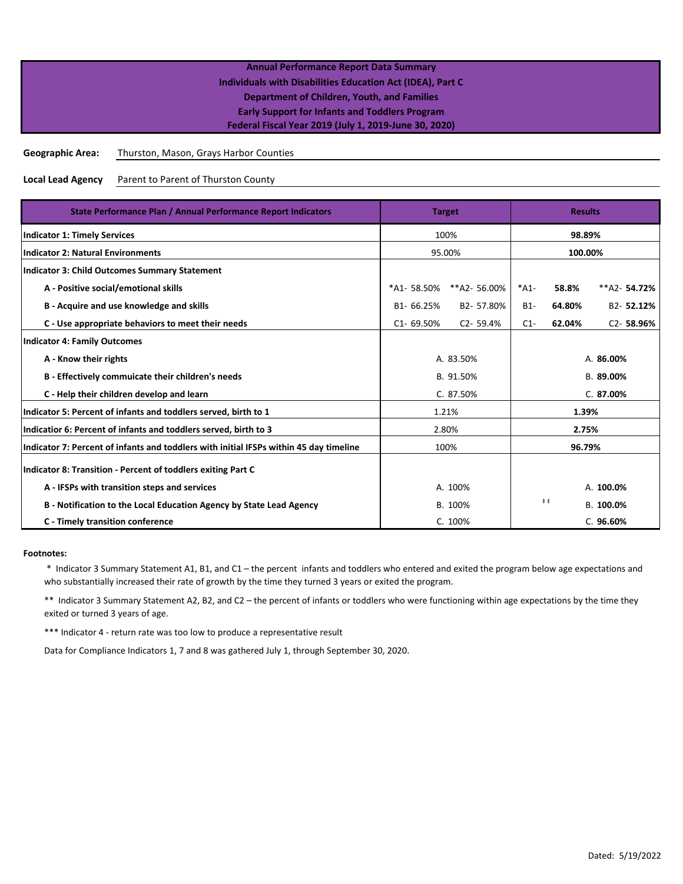**Geographic Area:** Thurston, Mason, Grays Harbor Counties

**Local Lead Agency** Parent to Parent of Thurston County

| State Performance Plan / Annual Performance Report Indicators                          | <b>Target</b>  |              | <b>Results</b> |                       |                |
|----------------------------------------------------------------------------------------|----------------|--------------|----------------|-----------------------|----------------|
| <b>Indicator 1: Timely Services</b>                                                    |                | 100%         |                | 98.89%                |                |
| <b>Indicator 2: Natural Environments</b>                                               | 95.00%         |              | 100.00%        |                       |                |
| <b>Indicator 3: Child Outcomes Summary Statement</b>                                   |                |              |                |                       |                |
| A - Positive social/emotional skills                                                   | *A1-58.50%     | **A2-56.00%  | $*A1-$         | 58.8%                 | $**$ A2-54.72% |
| B - Acquire and use knowledge and skills                                               | B1-66.25%      | B2-57.80%    | $B1-$          | 64.80%                | B2-52.12%      |
| C - Use appropriate behaviors to meet their needs                                      | $C1 - 69.50%$  | $C2 - 59.4%$ | $C1-$          | 62.04%                | $C2 - 58.96%$  |
| <b>Indicator 4: Family Outcomes</b>                                                    |                |              |                |                       |                |
| A - Know their rights                                                                  |                | A. 83.50%    |                | A. 86.00%             |                |
| B - Effectively commuicate their children's needs                                      | B. 91.50%      |              | B. 89.00%      |                       |                |
| C - Help their children develop and learn                                              |                | C. 87.50%    |                | C.87.00%              |                |
| Indicator 5: Percent of infants and toddlers served, birth to 1                        |                | 1.21%        | 1.39%          |                       |                |
| Indicatior 6: Percent of infants and toddlers served, birth to 3                       | 2.80%<br>2.75% |              |                |                       |                |
| Indicator 7: Percent of infants and toddlers with initial IFSPs within 45 day timeline | 100%           |              | 96.79%         |                       |                |
| Indicator 8: Transition - Percent of toddlers exiting Part C                           |                |              |                |                       |                |
| A - IFSPs with transition steps and services                                           | A. 100%        |              |                |                       | A. 100.0%      |
| B - Notification to the Local Education Agency by State Lead Agency                    | B. 100%        |              |                | $\ddagger$ $\ddagger$ | B. 100.0%      |
| C - Timely transition conference                                                       |                | C. 100%      |                |                       | C.96.60%       |

### **Footnotes:**

 \* Indicator 3 Summary Statement A1, B1, and C1 – the percent infants and toddlers who entered and exited the program below age expectations and who substantially increased their rate of growth by the time they turned 3 years or exited the program.

\*\* Indicator 3 Summary Statement A2, B2, and C2 – the percent of infants or toddlers who were functioning within age expectations by the time they exited or turned 3 years of age.

\*\*\* Indicator 4 - return rate was too low to produce a representative result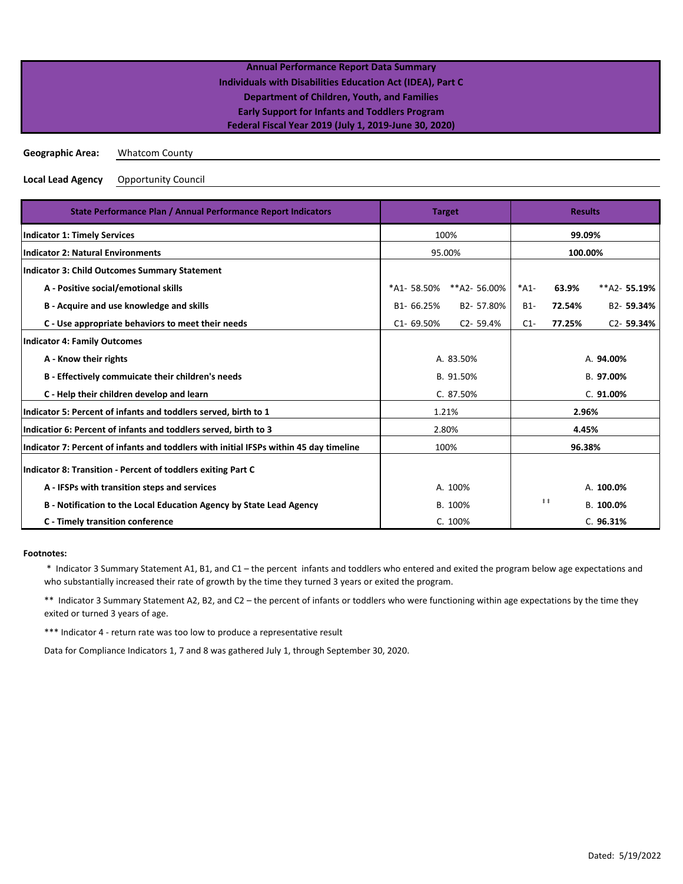|                         | <b>Annual Performance Report Data Summary</b>              |  |
|-------------------------|------------------------------------------------------------|--|
|                         | Individuals with Disabilities Education Act (IDEA), Part C |  |
|                         | <b>Department of Children, Youth, and Families</b>         |  |
|                         | <b>Early Support for Infants and Toddlers Program</b>      |  |
|                         | Federal Fiscal Year 2019 (July 1, 2019-June 30, 2020)      |  |
|                         |                                                            |  |
| <b>Geographic Area:</b> | <b>Whatcom County</b>                                      |  |

**Local Lead Agency** Opportunity Council

| State Performance Plan / Annual Performance Report Indicators                          | <b>Target</b> | <b>Results</b> |           |             |               |
|----------------------------------------------------------------------------------------|---------------|----------------|-----------|-------------|---------------|
| <b>Indicator 1: Timely Services</b>                                                    |               | 100%           |           | 99.09%      |               |
| <b>Indicator 2: Natural Environments</b>                                               |               | 95.00%         | 100.00%   |             |               |
| <b>Indicator 3: Child Outcomes Summary Statement</b>                                   |               |                |           |             |               |
| A - Positive social/emotional skills                                                   | *A1-58.50%    | **A2-56.00%    | $*A1-$    | 63.9%       | $**A2-55.19%$ |
| B - Acquire and use knowledge and skills                                               | B1-66.25%     | B2-57.80%      | $B1-$     | 72.54%      | B2-59.34%     |
| C - Use appropriate behaviors to meet their needs                                      | $C1 - 69.50%$ | $C2 - 59.4%$   | $C1-$     | 77.25%      | $C2 - 59.34%$ |
| <b>Indicator 4: Family Outcomes</b>                                                    |               |                |           |             |               |
| A - Know their rights                                                                  |               | A. 83.50%      |           |             | A. 94.00%     |
| B - Effectively commuicate their children's needs                                      | B. 91.50%     |                | B. 97.00% |             |               |
| C - Help their children develop and learn                                              | C. 87.50%     |                | C. 91.00% |             |               |
| Indicator 5: Percent of infants and toddlers served, birth to 1                        |               | 1.21%          | 2.96%     |             |               |
| Indicatior 6: Percent of infants and toddlers served, birth to 3                       | 2.80%         |                | 4.45%     |             |               |
| Indicator 7: Percent of infants and toddlers with initial IFSPs within 45 day timeline | 100%          |                | 96.38%    |             |               |
| Indicator 8: Transition - Percent of toddlers exiting Part C                           |               |                |           |             |               |
| A - IFSPs with transition steps and services                                           | A. 100%       |                |           |             | A. 100.0%     |
| B - Notification to the Local Education Agency by State Lead Agency                    | B. 100%       |                |           | $\pm$ $\pm$ | B. 100.0%     |
| C - Timely transition conference                                                       |               | C. 100%        |           |             | C.96.31%      |

### **Footnotes:**

 \* Indicator 3 Summary Statement A1, B1, and C1 – the percent infants and toddlers who entered and exited the program below age expectations and who substantially increased their rate of growth by the time they turned 3 years or exited the program.

\*\* Indicator 3 Summary Statement A2, B2, and C2 – the percent of infants or toddlers who were functioning within age expectations by the time they exited or turned 3 years of age.

\*\*\* Indicator 4 - return rate was too low to produce a representative result